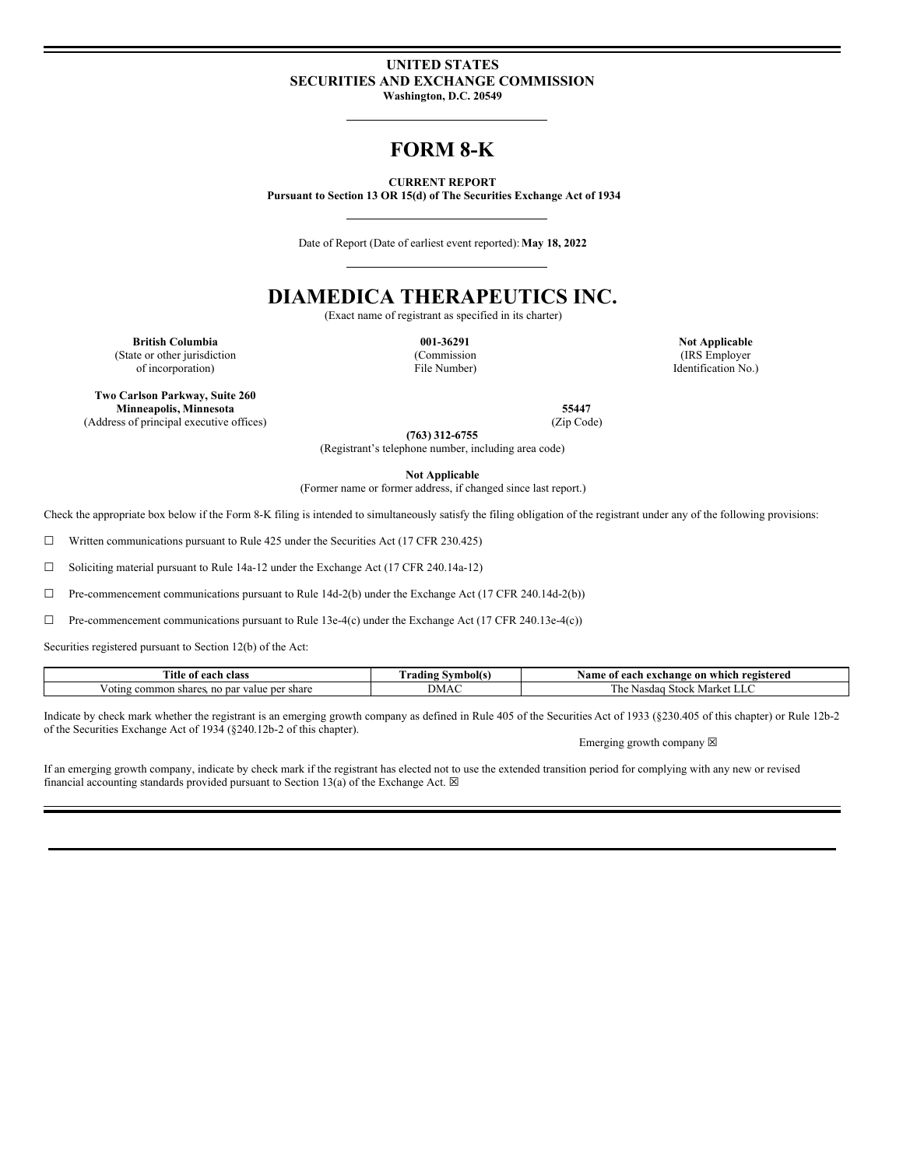### **UNITED STATES SECURITIES AND EXCHANGE COMMISSION Washington, D.C. 20549**

## **FORM 8-K**

**CURRENT REPORT**

**Pursuant to Section 13 OR 15(d) of The Securities Exchange Act of 1934**

Date of Report (Date of earliest event reported):**May 18, 2022**

# **DIAMEDICA THERAPEUTICS INC.**

(Exact name of registrant as specified in its charter)

**British Columbia Discriming the Columbia Columbia Discriming the Columbia Columbia Not Applicable** (State or other jurisdiction of incorporation)

(Commission File Number)

(IRS Employer Identification No.)

**Two Carlson Parkway, Suite 260 Minneapolis, Minnesota 55447**<br> **Example 35447**<br> **Example 35447**<br> **Example 35447**<br> **Example 35447**<br> **Example 35447**<br> **Example 35447** (Address of principal executive offices)

**(763) 312-6755** (Registrant's telephone number, including area code)

**Not Applicable**

(Former name or former address, if changed since last report.)

Check the appropriate box below if the Form 8-K filing is intended to simultaneously satisfy the filing obligation of the registrant under any of the following provisions:

☐ Written communications pursuant to Rule 425 under the Securities Act (17 CFR 230.425)

☐ Soliciting material pursuant to Rule 14a-12 under the Exchange Act (17 CFR 240.14a-12)

☐ Pre-commencement communications pursuant to Rule 14d-2(b) under the Exchange Act (17 CFR 240.14d-2(b))

□ Pre-commencement communications pursuant to Rule 13e-4(c) under the Exchange Act (17 CFR 240.13e-4(c))

Securities registered pursuant to Section 12(b) of the Act:

| Title.<br>class<br>each<br>-01                              | Symbol(s)<br>. radıng | registered<br>∙ which<br>Name<br>-xchange<br>-on |
|-------------------------------------------------------------|-----------------------|--------------------------------------------------|
| share<br>share<br>value per<br>common<br>par :<br>oting<br> | DМ.                   | . ne<br><b>Stock</b><br>. Market<br>Nasdaa       |

Indicate by check mark whether the registrant is an emerging growth company as defined in Rule 405 of the Securities Act of 1933 (§230.405 of this chapter) or Rule 12b-2 of the Securities Exchange Act of 1934 (§240.12b-2 of this chapter).

Emerging growth company  $\boxtimes$ 

If an emerging growth company, indicate by check mark if the registrant has elected not to use the extended transition period for complying with any new or revised financial accounting standards provided pursuant to Section 13(a) of the Exchange Act.  $\boxtimes$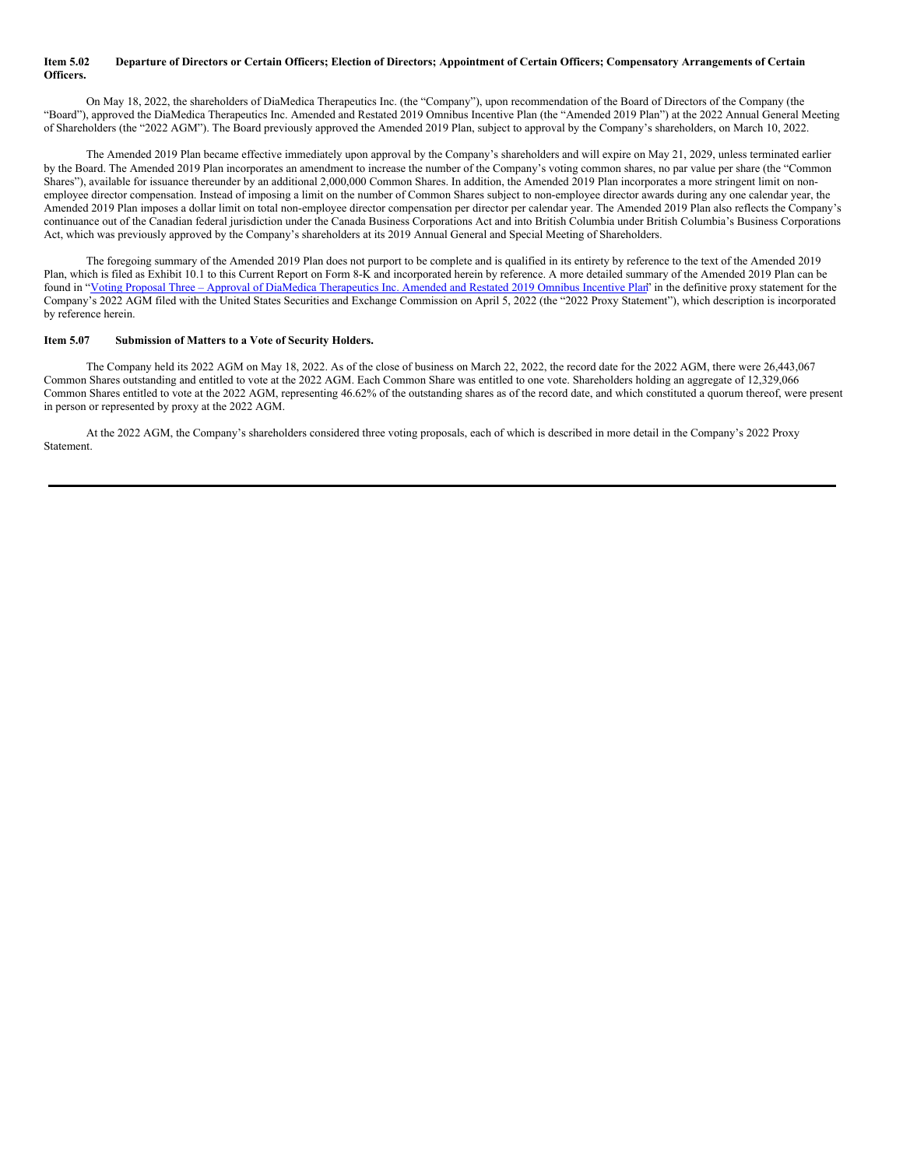### Item 5.02 Departure of Directors or Certain Officers; Election of Directors; Appointment of Certain Officers; Compensatory Arrangements of Certain **Officers.**

On May 18, 2022, the shareholders of DiaMedica Therapeutics Inc. (the "Company"), upon recommendation of the Board of Directors of the Company (the "Board"), approved the DiaMedica Therapeutics Inc. Amended and Restated 2019 Omnibus Incentive Plan (the "Amended 2019 Plan") at the 2022 Annual General Meeting of Shareholders (the "2022 AGM"). The Board previously approved the Amended 2019 Plan, subject to approval by the Company's shareholders, on March 10, 2022.

The Amended 2019 Plan became effective immediately upon approval by the Company's shareholders and will expire on May 21, 2029, unless terminated earlier by the Board. The Amended 2019 Plan incorporates an amendment to increase the number of the Company's voting common shares, no par value per share (the "Common Shares"), available for issuance thereunder by an additional 2,000,000 Common Shares. In addition, the Amended 2019 Plan incorporates a more stringent limit on nonemployee director compensation. Instead of imposing a limit on the number of Common Shares subject to non-employee director awards during any one calendar year, the Amended 2019 Plan imposes a dollar limit on total non-employee director compensation per director per calendar year. The Amended 2019 Plan also reflects the Company's continuance out of the Canadian federal jurisdiction under the Canada Business Corporations Act and into British Columbia under British Columbia's Business Corporations Act, which was previously approved by the Company's shareholders at its 2019 Annual General and Special Meeting of Shareholders.

The foregoing summary of the Amended 2019 Plan does not purport to be complete and is qualified in its entirety by reference to the text of the Amended 2019 Plan, which is filed as Exhibit 10.1 to this Current Report on Form 8-K and incorporated herein by reference. A more detailed summary of the Amended 2019 Plan can be found in "Voting Proposal Three – Approval of DiaMedica [Therapeutics](http://www.sec.gov/Archives/edgar/data/1401040/000143774922008264/dmtp20220327_def14a.htm) Inc. Amended and Restated 2019 Omnibus Incentive Plan" in the definitive proxy statement for the Company's 2022 AGM filed with the United States Securities and Exchange Commission on April 5, 2022 (the "2022 Proxy Statement"), which description is incorporated by reference herein.

### **Item 5.07 Submission of Matters to a Vote of Security Holders.**

The Company held its 2022 AGM on May 18, 2022. As of the close of business on March 22, 2022, the record date for the 2022 AGM, there were 26,443,067 Common Shares outstanding and entitled to vote at the 2022 AGM. Each Common Share was entitled to one vote. Shareholders holding an aggregate of 12,329,066 Common Shares entitled to vote at the 2022 AGM, representing 46.62% of the outstanding shares as of the record date, and which constituted a quorum thereof, were present in person or represented by proxy at the 2022 AGM.

At the 2022 AGM, the Company's shareholders considered three voting proposals, each of which is described in more detail in the Company's 2022 Proxy Statement.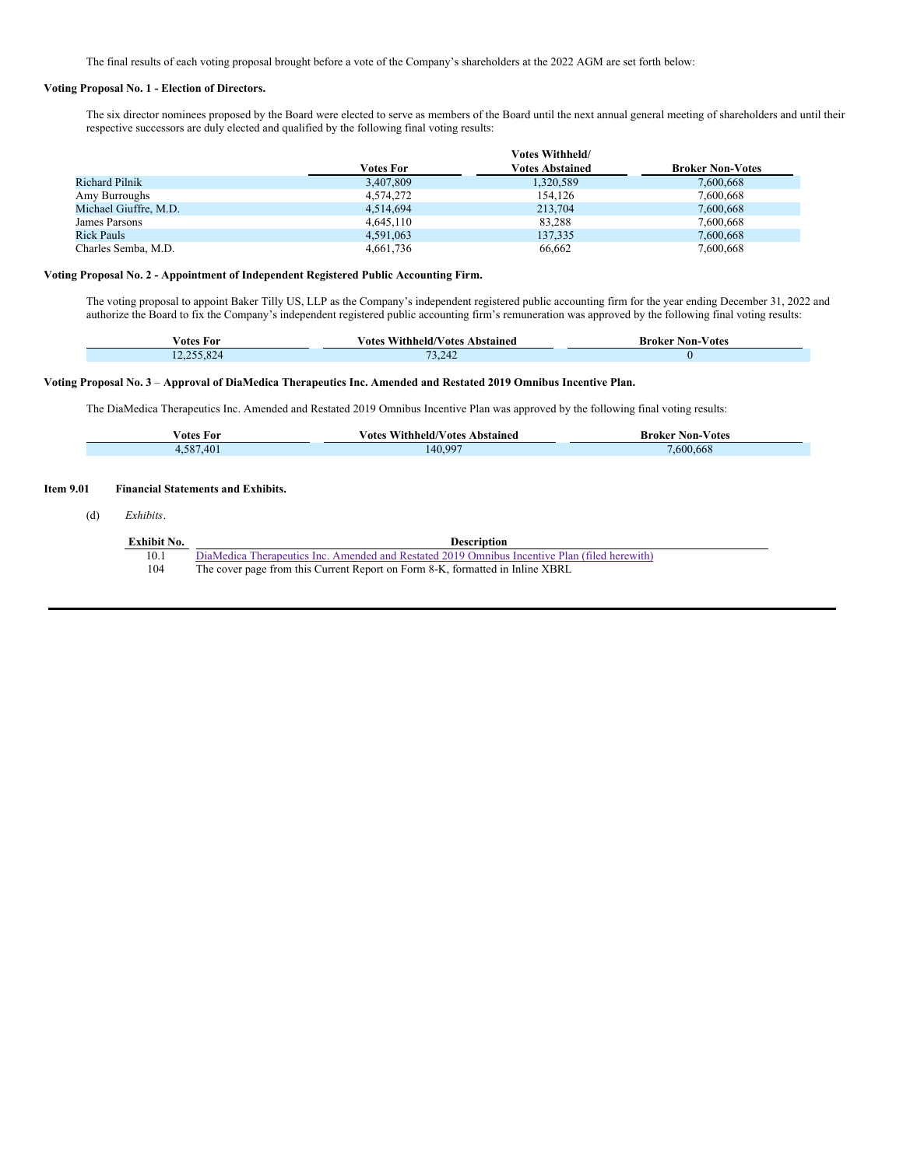The final results of each voting proposal brought before a vote of the Company's shareholders at the 2022 AGM are set forth below:

### **Voting Proposal No. 1 - Election of Directors.**

The six director nominees proposed by the Board were elected to serve as members of the Board until the next annual general meeting of shareholders and until their respective successors are duly elected and qualified by the following final voting results:

|                       |           | <b>Votes Withheld/</b> |                         |  |
|-----------------------|-----------|------------------------|-------------------------|--|
|                       | Votes For | <b>Votes Abstained</b> | <b>Broker Non-Votes</b> |  |
| <b>Richard Pilnik</b> | 3.407.809 | 1,320,589              | 7,600,668               |  |
| Amy Burroughs         | 4.574.272 | 154.126                | 7,600,668               |  |
| Michael Giuffre, M.D. | 4.514.694 | 213,704                | 7.600.668               |  |
| James Parsons         | 4.645.110 | 83.288                 | 7.600.668               |  |
| <b>Rick Pauls</b>     | 4,591,063 | 137,335                | 7,600,668               |  |
| Charles Semba, M.D.   | 4,661,736 | 66,662                 | 7,600,668               |  |

### **Voting Proposal No. 2 - Appointment of Independent Registered Public Accounting Firm.**

The voting proposal to appoint Baker Tilly US, LLP as the Company's independent registered public accounting firm for the year ending December 31, 2022 and authorize the Board to fix the Company's independent registered public accounting firm's remuneration was approved by the following final voting results:

| ∕otes For                     | $ -$<br>Abstained<br>∕otes<br>Withheld/V<br>votes | v otes<br>Non-<br>Broker |
|-------------------------------|---------------------------------------------------|--------------------------|
| 755.82<br>12,2 <i>00</i> ,027 | $\mathbf{z}$<br>73.242                            |                          |

### Voting Proposal No. 3 - Approval of DiaMedica Therapeutics Inc. Amended and Restated 2019 Omnibus Incentive Plan.

The DiaMedica Therapeutics Inc. Amended and Restated 2019 Omnibus Incentive Plan was approved by the following final voting results:

| otes<br>For                                     | - -<br>Abstained<br>Withheld/Votes<br>otes/ | Non-Votes<br>Broker    |
|-------------------------------------------------|---------------------------------------------|------------------------|
| $F \cap T$<br>$\sqrt{2}$<br>$\overline{ }$<br>. | 140,997                                     | $\epsilon$<br>,600,668 |

### **Item 9.01 Financial Statements and Exhibits.**

(d) *Exhibits*.

| Exhibit No. | <b>Description</b>                                                                            |
|-------------|-----------------------------------------------------------------------------------------------|
| 10.1        | DiaMedica Therapeutics Inc. Amended and Restated 2019 Omnibus Incentive Plan (filed herewith) |
| 104         | The cover page from this Current Report on Form 8-K, formatted in Inline XBRL                 |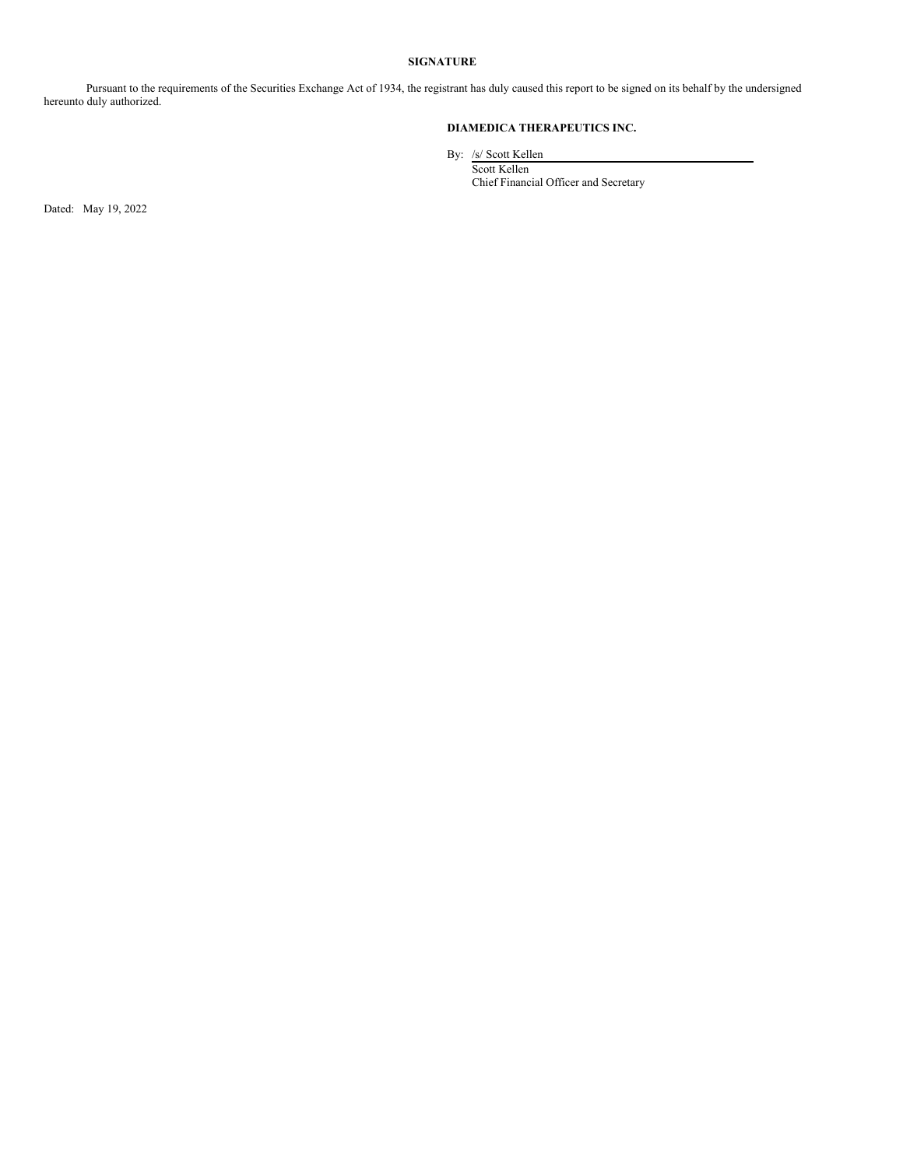### **SIGNATURE**

Pursuant to the requirements of the Securities Exchange Act of 1934, the registrant has duly caused this report to be signed on its behalf by the undersigned hereunto duly authorized.

### **DIAMEDICA THERAPEUTICS INC.**

By: /s/ Scott Kellen

Scott Kellen Chief Financial Officer and Secretary

Dated: May 19, 2022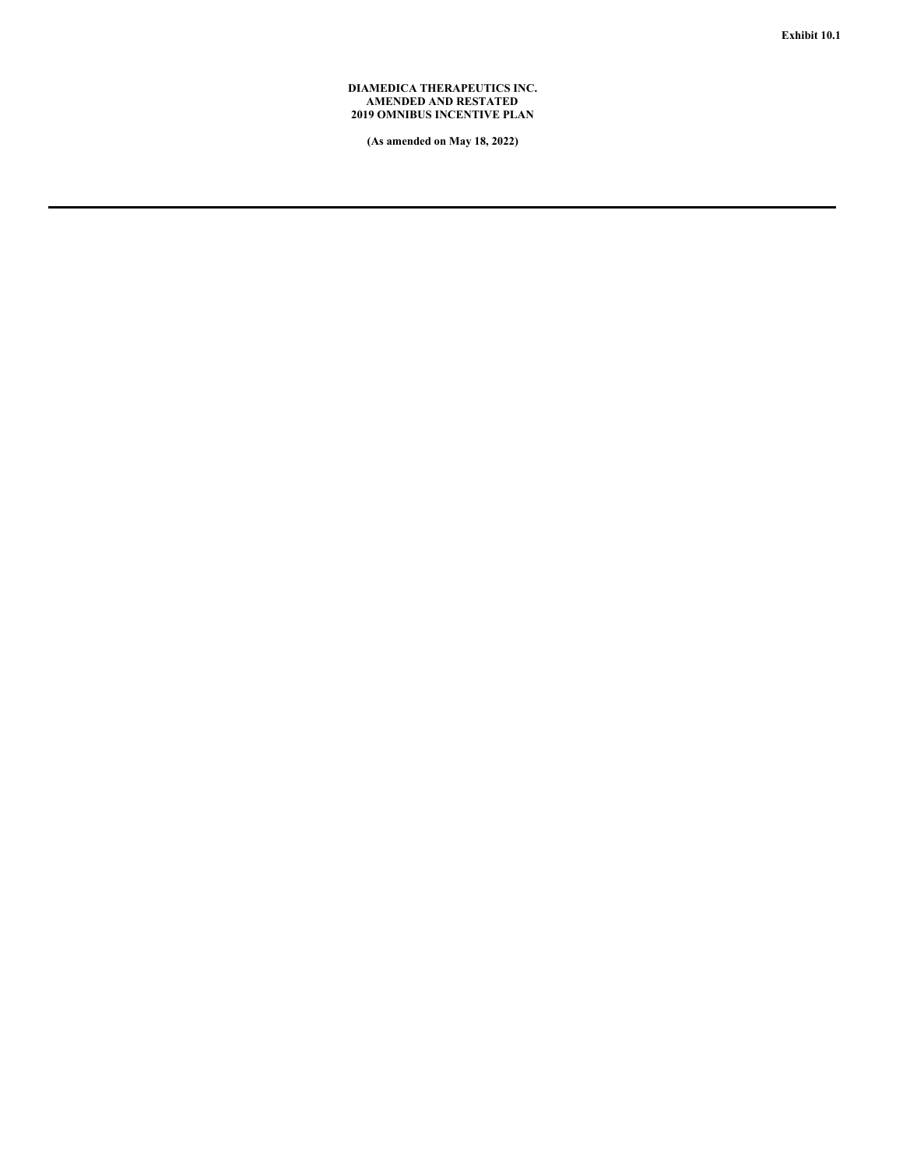### **DIAMEDICA THERAPEUTICS INC. AMENDED AND RESTATED 2019 OMNIBUS INCENTIVE PLAN**

**(As amended on May 18, 2022)**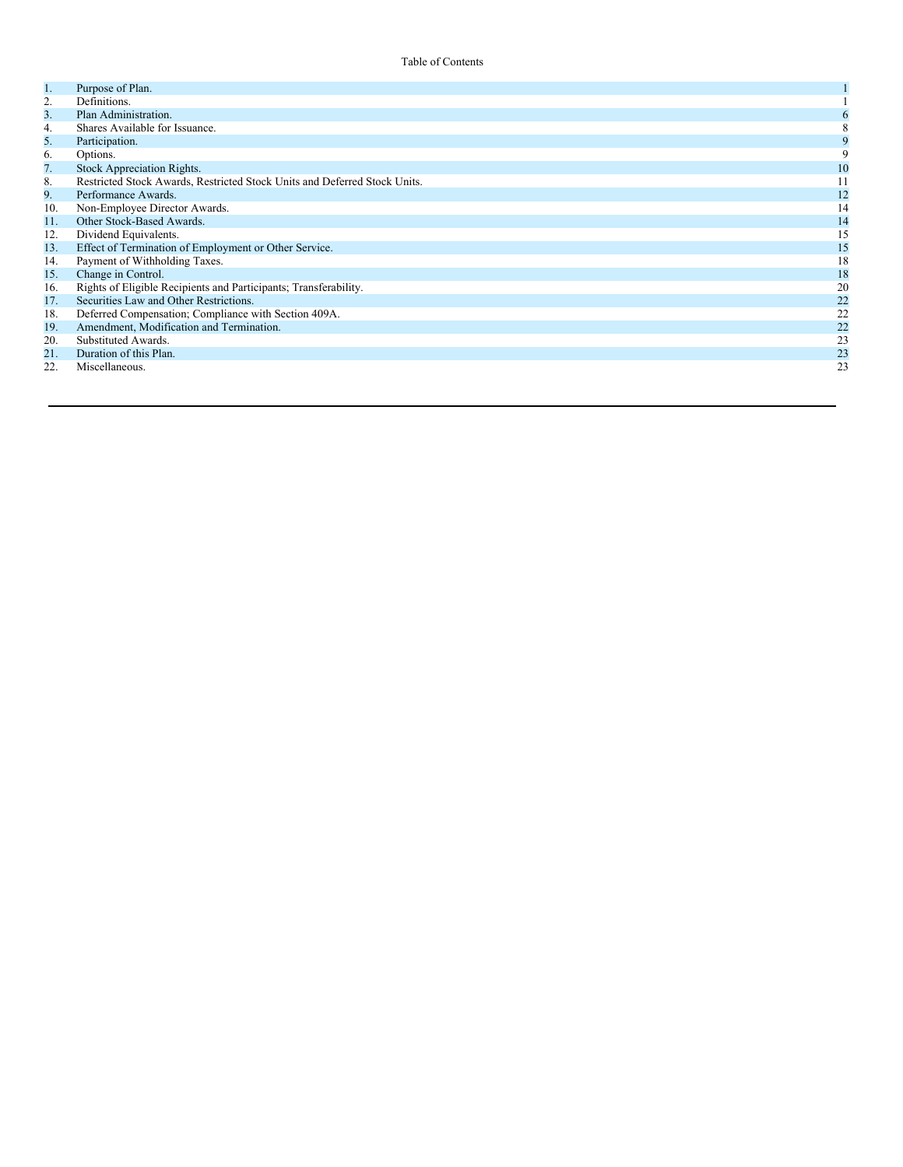| 1.  | Purpose of Plan.                                                          |    |
|-----|---------------------------------------------------------------------------|----|
| 2.  | Definitions.                                                              |    |
| 3.  | Plan Administration.                                                      |    |
| 4.  | Shares Available for Issuance.                                            |    |
| 5.  | Participation.                                                            |    |
| 6.  | Options.                                                                  | 9  |
| 7.  | Stock Appreciation Rights.                                                | 10 |
| 8.  | Restricted Stock Awards, Restricted Stock Units and Deferred Stock Units. | 11 |
| 9.  | Performance Awards.                                                       | 12 |
| 10. | Non-Employee Director Awards.                                             | 14 |
| 11. | Other Stock-Based Awards.                                                 | 14 |
| 12. | Dividend Equivalents.                                                     | 15 |
| 13. | Effect of Termination of Employment or Other Service.                     | 15 |
| 14. | Payment of Withholding Taxes.                                             | 18 |
| 15. | Change in Control.                                                        | 18 |
| 16. | Rights of Eligible Recipients and Participants; Transferability.          | 20 |
| 17. | Securities Law and Other Restrictions.                                    | 22 |
| 18. | Deferred Compensation; Compliance with Section 409A.                      | 22 |
| 19. | Amendment, Modification and Termination.                                  | 22 |
| 20. | Substituted Awards.                                                       | 23 |
| 21. | Duration of this Plan.                                                    | 23 |
| 22. | Miscellaneous.                                                            | 23 |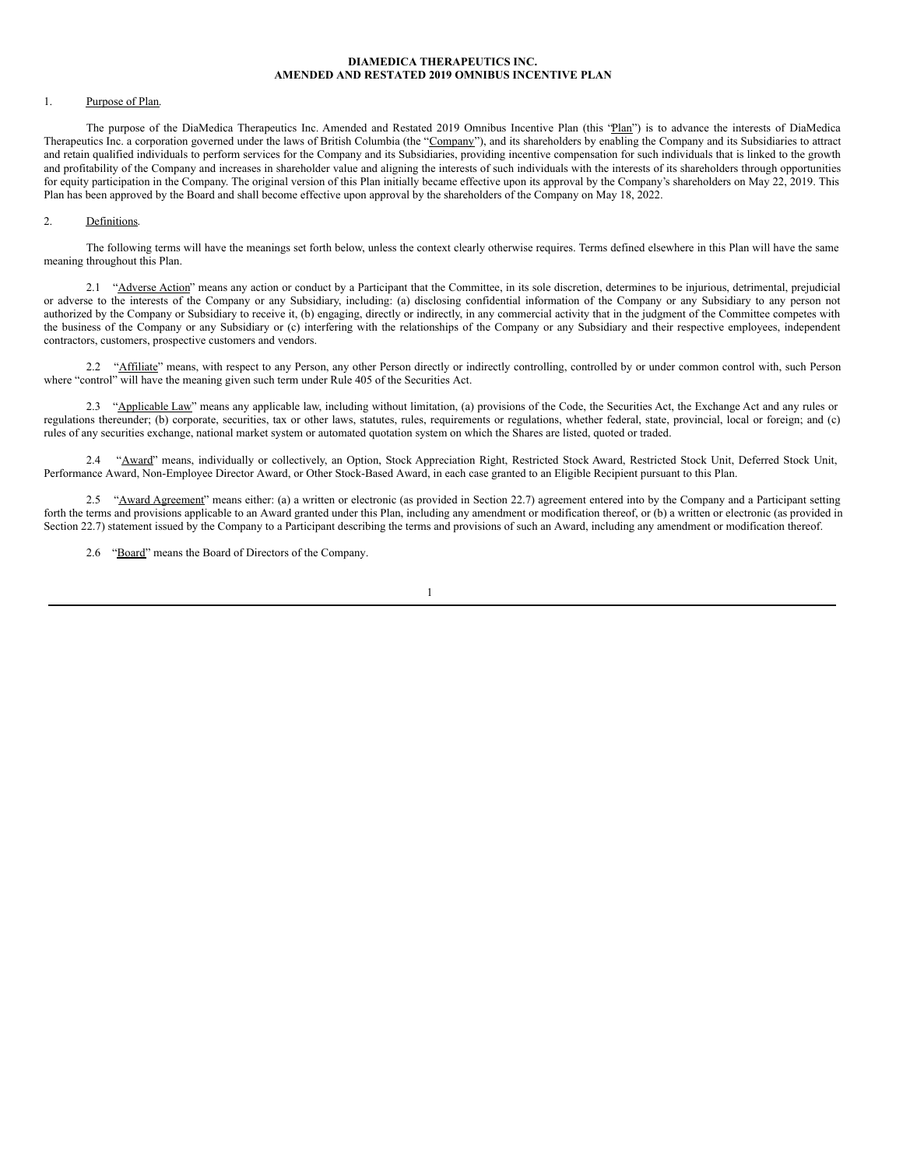### **DIAMEDICA THERAPEUTICS INC. AMENDED AND RESTATED 2019 OMNIBUS INCENTIVE PLAN**

### 1. Purpose of Plan.

The purpose of the DiaMedica Therapeutics Inc. Amended and Restated 2019 Omnibus Incentive Plan (this "Plan") is to advance the interests of DiaMedica Therapeutics Inc. a corporation governed under the laws of British Columbia (the "Company"), and its shareholders by enabling the Company and its Subsidiaries to attract and retain qualified individuals to perform services for the Company and its Subsidiaries, providing incentive compensation for such individuals that is linked to the growth and profitability of the Company and increases in shareholder value and aligning the interests of such individuals with the interests of its shareholders through opportunities for equity participation in the Company. The original version of this Plan initially became effective upon its approval by the Company's shareholders on May 22, 2019. This Plan has been approved by the Board and shall become effective upon approval by the shareholders of the Company on May 18, 2022.

#### 2. Definitions.

The following terms will have the meanings set forth below, unless the context clearly otherwise requires. Terms defined elsewhere in this Plan will have the same meaning throughout this Plan.

2.1 "Adverse Action" means any action or conduct by a Participant that the Committee, in its sole discretion, determines to be injurious, detrimental, prejudicial or adverse to the interests of the Company or any Subsidiary, including: (a) disclosing confidential information of the Company or any Subsidiary to any person not authorized by the Company or Subsidiary to receive it, (b) engaging, directly or indirectly, in any commercial activity that in the judgment of the Committee competes with the business of the Company or any Subsidiary or (c) interfering with the relationships of the Company or any Subsidiary and their respective employees, independent contractors, customers, prospective customers and vendors.

2.2 "Affiliate" means, with respect to any Person, any other Person directly or indirectly controlling, controlled by or under common control with, such Person where "control" will have the meaning given such term under Rule 405 of the Securities Act.

2.3 "Applicable Law" means any applicable law, including without limitation, (a) provisions of the Code, the Securities Act, the Exchange Act and any rules or regulations thereunder; (b) corporate, securities, tax or other laws, statutes, rules, requirements or regulations, whether federal, state, provincial, local or foreign; and (c) rules of any securities exchange, national market system or automated quotation system on which the Shares are listed, quoted or traded.

2.4 "Award" means, individually or collectively, an Option, Stock Appreciation Right, Restricted Stock Award, Restricted Stock Unit, Deferred Stock Unit, Performance Award, Non-Employee Director Award, or Other Stock-Based Award, in each case granted to an Eligible Recipient pursuant to this Plan.

2.5 "Award Agreement" means either: (a) a written or electronic (as provided in Section 22.7) agreement entered into by the Company and a Participant setting forth the terms and provisions applicable to an Award granted under this Plan, including any amendment or modification thereof, or (b) a written or electronic (as provided in Section 22.7) statement issued by the Company to a Participant describing the terms and provisions of such an Award, including any amendment or modification thereof.

2.6 "Board" means the Board of Directors of the Company.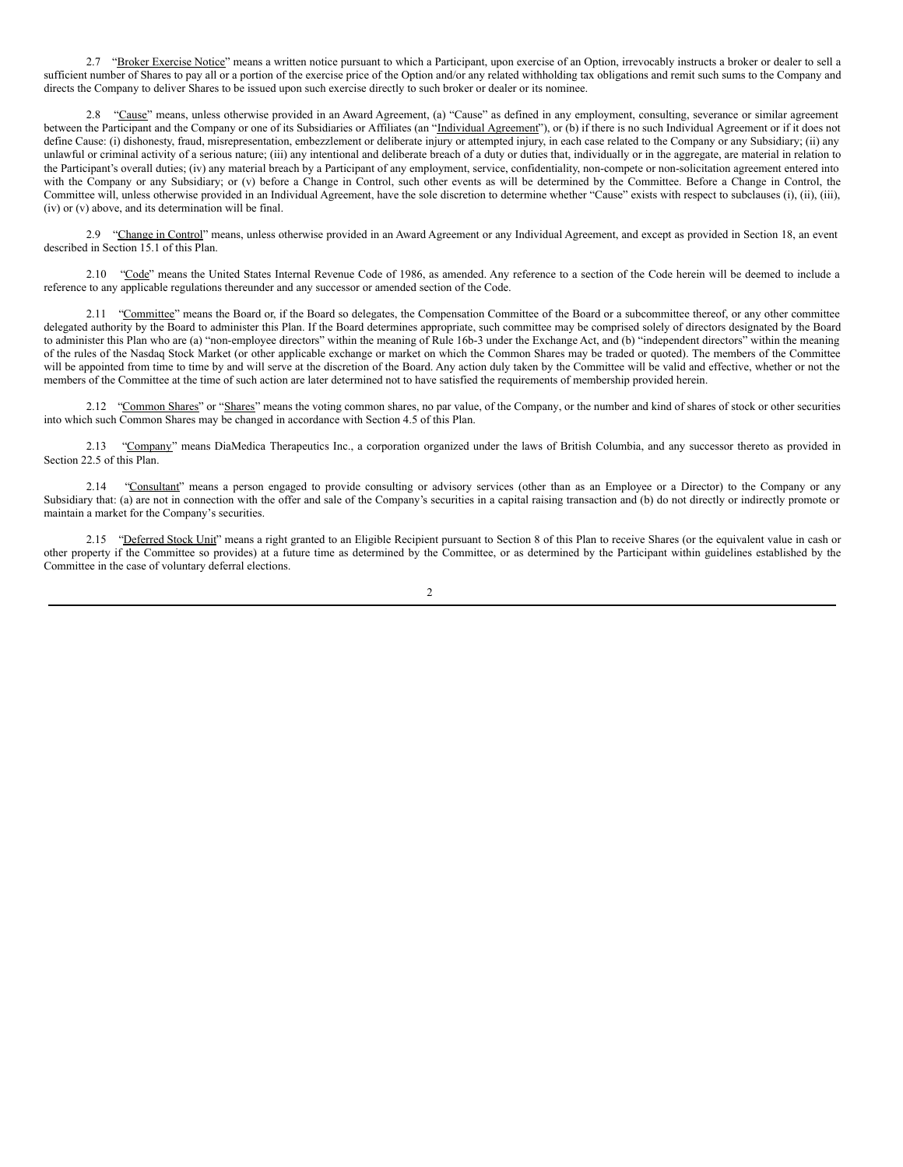2.7 "Broker Exercise Notice" means a written notice pursuant to which a Participant, upon exercise of an Option, irrevocably instructs a broker or dealer to sell a sufficient number of Shares to pay all or a portion of the exercise price of the Option and/or any related withholding tax obligations and remit such sums to the Company and directs the Company to deliver Shares to be issued upon such exercise directly to such broker or dealer or its nominee.

2.8 "Cause" means, unless otherwise provided in an Award Agreement, (a) "Cause" as defined in any employment, consulting, severance or similar agreement between the Participant and the Company or one of its Subsidiaries or Affiliates (an "Individual Agreement"), or (b) if there is no such Individual Agreement or if it does not define Cause: (i) dishonesty, fraud, misrepresentation, embezzlement or deliberate injury or attempted injury, in each case related to the Company or any Subsidiary; (ii) any unlawful or criminal activity of a serious nature; (iii) any intentional and deliberate breach of a duty or duties that, individually or in the aggregate, are material in relation to the Participant's overall duties; (iv) any material breach by a Participant of any employment, service, confidentiality, non-compete or non-solicitation agreement entered into with the Company or any Subsidiary; or (v) before a Change in Control, such other events as will be determined by the Committee. Before a Change in Control, the Committee will, unless otherwise provided in an Individual Agreement, have the sole discretion to determine whether "Cause" exists with respect to subclauses (i), (ii), (iii), (iv) or (v) above, and its determination will be final.

2.9 "Change in Control" means, unless otherwise provided in an Award Agreement or any Individual Agreement, and except as provided in Section 18, an event described in Section 15.1 of this Plan.

2.10 "Code" means the United States Internal Revenue Code of 1986, as amended. Any reference to a section of the Code herein will be deemed to include a reference to any applicable regulations thereunder and any successor or amended section of the Code.

2.11 "Committee" means the Board or, if the Board so delegates, the Compensation Committee of the Board or a subcommittee thereof, or any other committee delegated authority by the Board to administer this Plan. If the Board determines appropriate, such committee may be comprised solely of directors designated by the Board to administer this Plan who are (a) "non-employee directors" within the meaning of Rule 16b-3 under the Exchange Act, and (b) "independent directors" within the meaning of the rules of the Nasdaq Stock Market (or other applicable exchange or market on which the Common Shares may be traded or quoted). The members of the Committee will be appointed from time to time by and will serve at the discretion of the Board. Any action duly taken by the Committee will be valid and effective, whether or not the members of the Committee at the time of such action are later determined not to have satisfied the requirements of membership provided herein.

2.12 "Common Shares" or "Shares" means the voting common shares, no par value, of the Company, or the number and kind of shares of stock or other securities into which such Common Shares may be changed in accordance with Section 4.5 of this Plan.

2.13 "Company" means DiaMedica Therapeutics Inc., a corporation organized under the laws of British Columbia, and any successor thereto as provided in Section 22.5 of this Plan.

2.14 "Consultant" means a person engaged to provide consulting or advisory services (other than as an Employee or a Director) to the Company or any Subsidiary that: (a) are not in connection with the offer and sale of the Company's securities in a capital raising transaction and (b) do not directly or indirectly promote or maintain a market for the Company's securities.

2.15 "Deferred Stock Unit" means a right granted to an Eligible Recipient pursuant to Section 8 of this Plan to receive Shares (or the equivalent value in cash or other property if the Committee so provides) at a future time as determined by the Committee, or as determined by the Participant within guidelines established by the Committee in the case of voluntary deferral elections.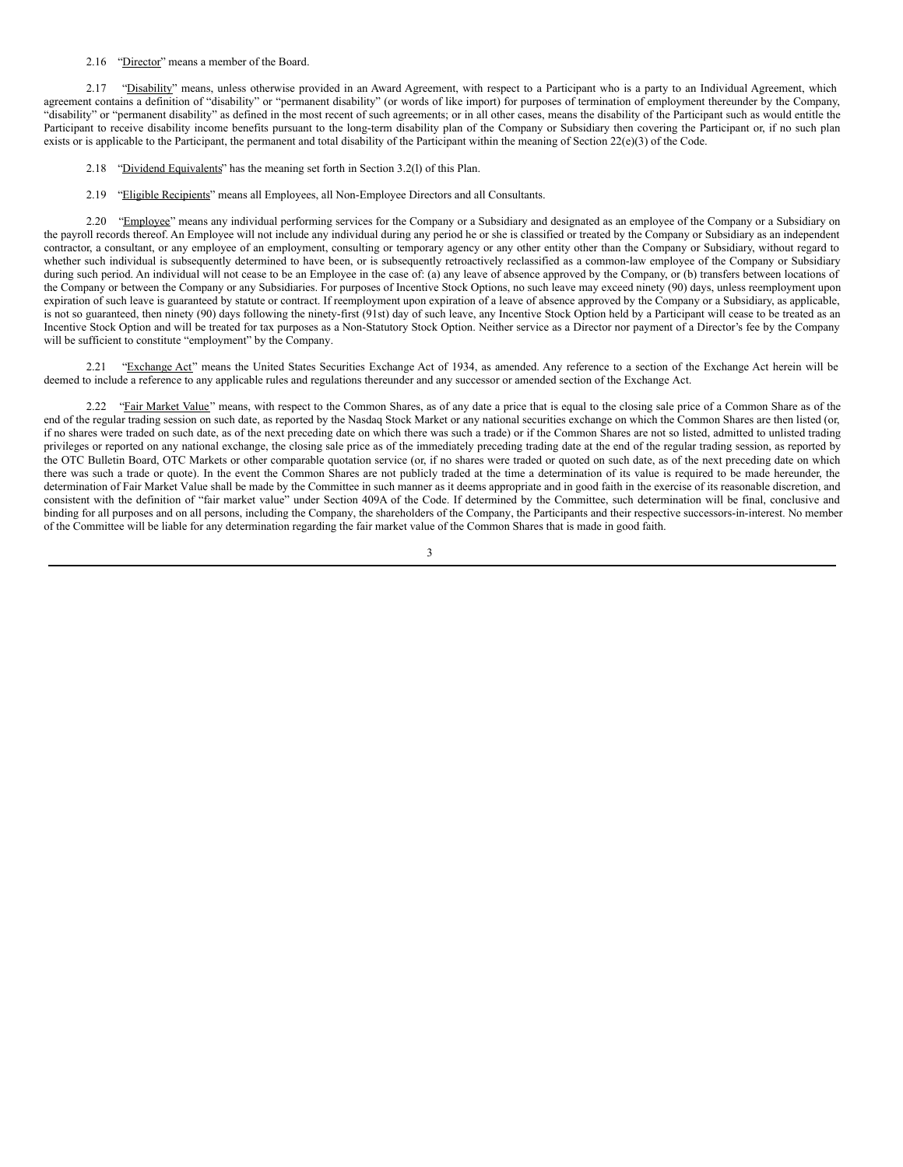#### 2.16 "Director" means a member of the Board.

2.17 "Disability" means, unless otherwise provided in an Award Agreement, with respect to a Participant who is a party to an Individual Agreement, which agreement contains a definition of "disability" or "permanent disability" (or words of like import) for purposes of termination of employment thereunder by the Company, "disability" or "permanent disability" as defined in the most recent of such agreements; or in all other cases, means the disability of the Participant such as would entitle the Participant to receive disability income benefits pursuant to the long-term disability plan of the Company or Subsidiary then covering the Participant or, if no such plan exists or is applicable to the Participant, the permanent and total disability of the Participant within the meaning of Section  $22(e)(3)$  of the Code.

- 2.18 "Dividend Equivalents" has the meaning set forth in Section 3.2(l) of this Plan.
- 2.19 "Eligible Recipients" means all Employees, all Non-Employee Directors and all Consultants.

2.20 "Employee" means any individual performing services for the Company or a Subsidiary and designated as an employee of the Company or a Subsidiary on the payroll records thereof. An Employee will not include any individual during any period he or she is classified or treated by the Company or Subsidiary as an independent contractor, a consultant, or any employee of an employment, consulting or temporary agency or any other entity other than the Company or Subsidiary, without regard to whether such individual is subsequently determined to have been, or is subsequently retroactively reclassified as a common-law employee of the Company or Subsidiary during such period. An individual will not cease to be an Employee in the case of: (a) any leave of absence approved by the Company, or (b) transfers between locations of the Company or between the Company or any Subsidiaries. For purposes of Incentive Stock Options, no such leave may exceed ninety (90) days, unless reemployment upon expiration of such leave is guaranteed by statute or contract. If reemployment upon expiration of a leave of absence approved by the Company or a Subsidiary, as applicable, is not so guaranteed, then ninety (90) days following the ninety-first (91st) day of such leave, any Incentive Stock Option held by a Participant will cease to be treated as an Incentive Stock Option and will be treated for tax purposes as a Non-Statutory Stock Option. Neither service as a Director nor payment of a Director's fee by the Company will be sufficient to constitute "employment" by the Company.

2.21 "Exchange Act" means the United States Securities Exchange Act of 1934, as amended. Any reference to a section of the Exchange Act herein will be deemed to include a reference to any applicable rules and regulations thereunder and any successor or amended section of the Exchange Act.

2.22 "Fair Market Value" means, with respect to the Common Shares, as of any date a price that is equal to the closing sale price of a Common Share as of the end of the regular trading session on such date, as reported by the Nasdaq Stock Market or any national securities exchange on which the Common Shares are then listed (or, if no shares were traded on such date, as of the next preceding date on which there was such a trade) or if the Common Shares are not so listed, admitted to unlisted trading privileges or reported on any national exchange, the closing sale price as of the immediately preceding trading date at the end of the regular trading session, as reported by the OTC Bulletin Board, OTC Markets or other comparable quotation service (or, if no shares were traded or quoted on such date, as of the next preceding date on which there was such a trade or quote). In the event the Common Shares are not publicly traded at the time a determination of its value is required to be made hereunder, the determination of Fair Market Value shall be made by the Committee in such manner as it deems appropriate and in good faith in the exercise of its reasonable discretion, and consistent with the definition of "fair market value" under Section 409A of the Code. If determined by the Committee, such determination will be final, conclusive and binding for all purposes and on all persons, including the Company, the shareholders of the Company, the Participants and their respective successors-in-interest. No member of the Committee will be liable for any determination regarding the fair market value of the Common Shares that is made in good faith.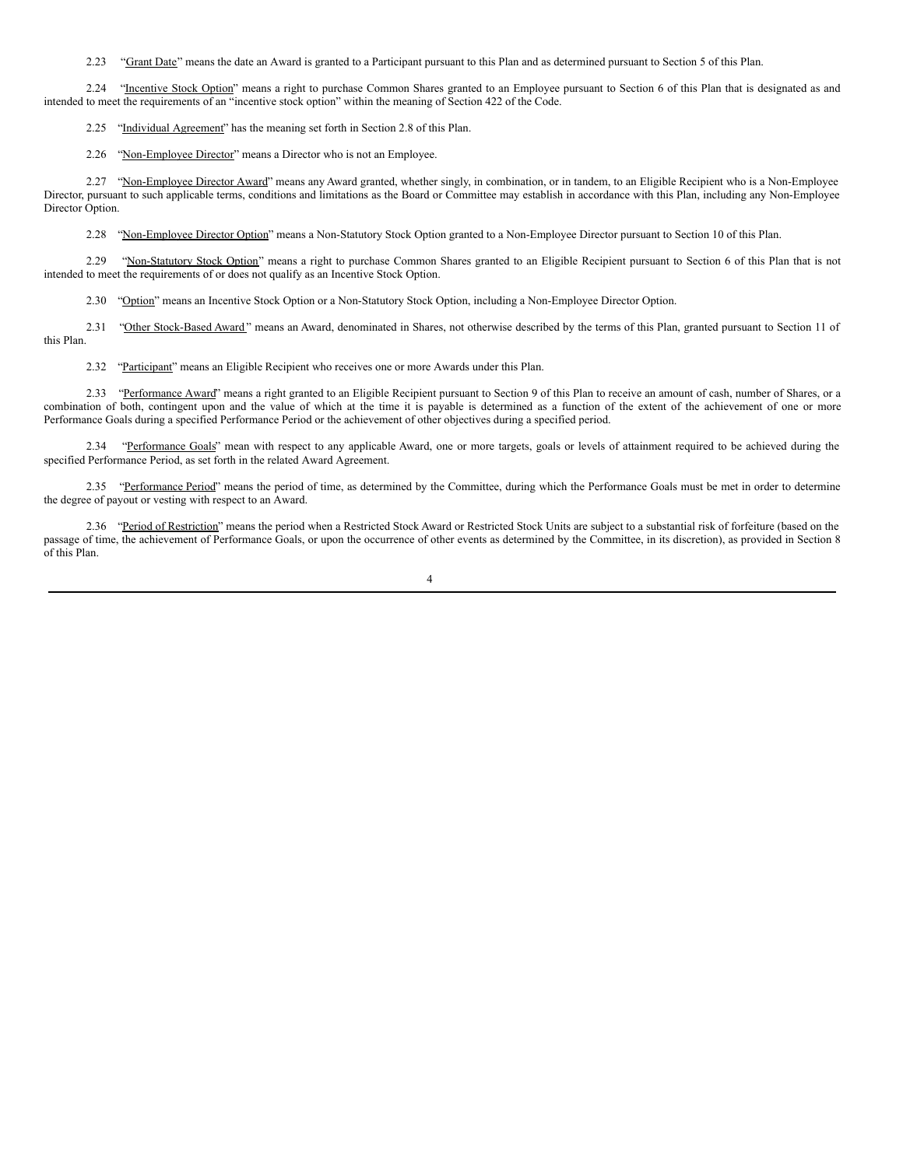2.23 "Grant Date" means the date an Award is granted to a Participant pursuant to this Plan and as determined pursuant to Section 5 of this Plan.

2.24 "Incentive Stock Option" means a right to purchase Common Shares granted to an Employee pursuant to Section 6 of this Plan that is designated as and intended to meet the requirements of an "incentive stock option" within the meaning of Section 422 of the Code.

2.25 "Individual Agreement" has the meaning set forth in Section 2.8 of this Plan.

2.26 "Non-Employee Director" means a Director who is not an Employee.

2.27 "Non-Employee Director Award" means any Award granted, whether singly, in combination, or in tandem, to an Eligible Recipient who is a Non-Employee Director, pursuant to such applicable terms, conditions and limitations as the Board or Committee may establish in accordance with this Plan, including any Non-Employee Director Option.

2.28 "Non-Employee Director Option" means a Non-Statutory Stock Option granted to a Non-Employee Director pursuant to Section 10 of this Plan.

2.29 "Non-Statutory Stock Option" means a right to purchase Common Shares granted to an Eligible Recipient pursuant to Section 6 of this Plan that is not intended to meet the requirements of or does not qualify as an Incentive Stock Option.

2.30 "Option" means an Incentive Stock Option or a Non-Statutory Stock Option, including a Non-Employee Director Option.

2.31 "Other Stock-Based Award" means an Award, denominated in Shares, not otherwise described by the terms of this Plan, granted pursuant to Section 11 of this Plan.

2.32 "Participant" means an Eligible Recipient who receives one or more Awards under this Plan.

2.33 "Performance Award" means a right granted to an Eligible Recipient pursuant to Section 9 of this Plan to receive an amount of cash, number of Shares, or a combination of both, contingent upon and the value of which at the time it is payable is determined as a function of the extent of the achievement of one or more Performance Goals during a specified Performance Period or the achievement of other objectives during a specified period.

"Performance Goals" mean with respect to any applicable Award, one or more targets, goals or levels of attainment required to be achieved during the specified Performance Period, as set forth in the related Award Agreement.

2.35 "Performance Period" means the period of time, as determined by the Committee, during which the Performance Goals must be met in order to determine the degree of payout or vesting with respect to an Award.

2.36 "Period of Restriction" means the period when a Restricted Stock Award or Restricted Stock Units are subject to a substantial risk of forfeiture (based on the passage of time, the achievement of Performance Goals, or upon the occurrence of other events as determined by the Committee, in its discretion), as provided in Section 8 of this Plan.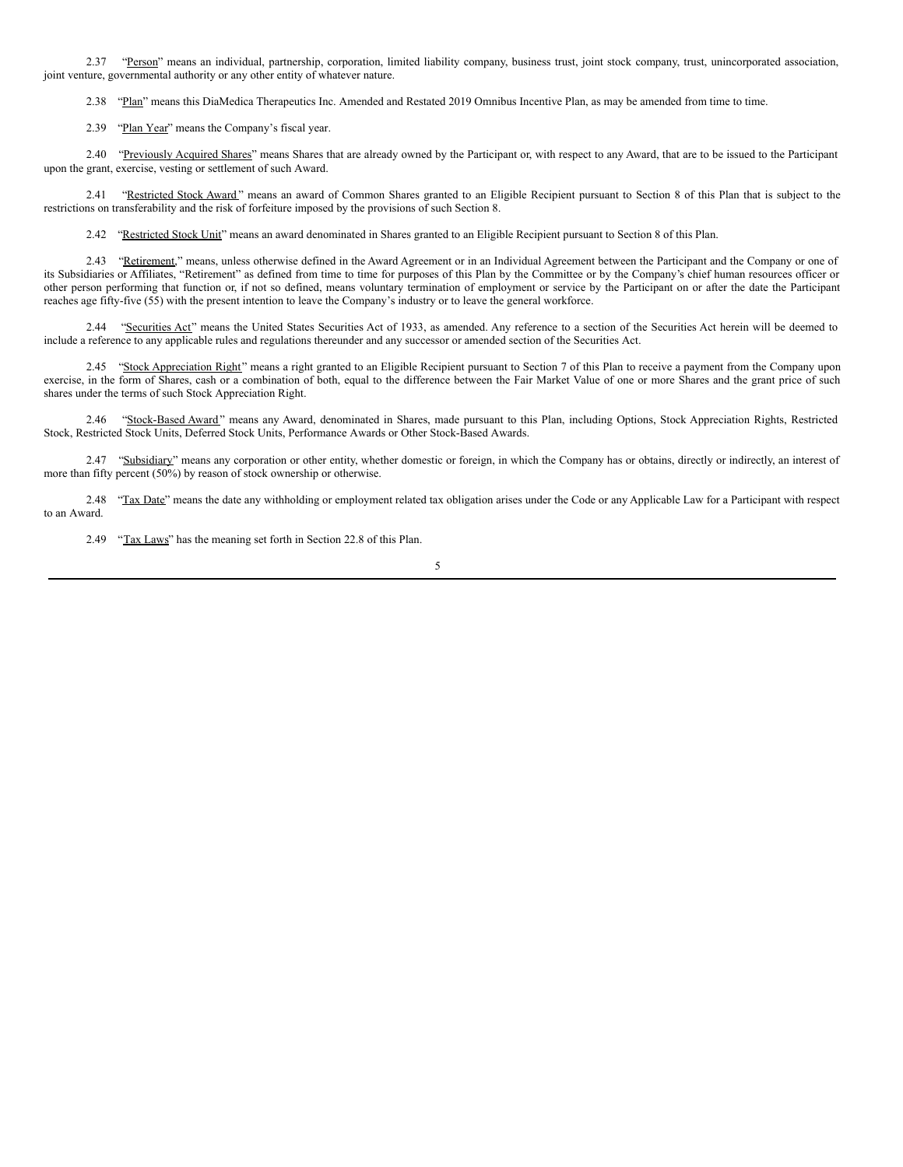2.37 "Person" means an individual, partnership, corporation, limited liability company, business trust, joint stock company, trust, unincorporated association, joint venture, governmental authority or any other entity of whatever nature.

2.38 "Plan" means this DiaMedica Therapeutics Inc. Amended and Restated 2019 Omnibus Incentive Plan, as may be amended from time to time.

2.39 "Plan Year" means the Company's fiscal year.

2.40 "Previously Acquired Shares" means Shares that are already owned by the Participant or, with respect to any Award, that are to be issued to the Participant upon the grant, exercise, vesting or settlement of such Award.

2.41 "Restricted Stock Award" means an award of Common Shares granted to an Eligible Recipient pursuant to Section 8 of this Plan that is subject to the restrictions on transferability and the risk of forfeiture imposed by the provisions of such Section 8.

2.42 "Restricted Stock Unit" means an award denominated in Shares granted to an Eligible Recipient pursuant to Section 8 of this Plan.

2.43 "Retirement," means, unless otherwise defined in the Award Agreement or in an Individual Agreement between the Participant and the Company or one of its Subsidiaries or Affiliates, "Retirement" as defined from time to time for purposes of this Plan by the Committee or by the Company's chief human resources officer or other person performing that function or, if not so defined, means voluntary termination of employment or service by the Participant on or after the date the Participant reaches age fifty-five (55) with the present intention to leave the Company's industry or to leave the general workforce.

2.44 "Securities Act" means the United States Securities Act of 1933, as amended. Any reference to a section of the Securities Act herein will be deemed to include a reference to any applicable rules and regulations thereunder and any successor or amended section of the Securities Act.

2.45 "Stock Appreciation Right" means a right granted to an Eligible Recipient pursuant to Section 7 of this Plan to receive a payment from the Company upon exercise, in the form of Shares, cash or a combination of both, equal to the difference between the Fair Market Value of one or more Shares and the grant price of such shares under the terms of such Stock Appreciation Right.

2.46 "Stock-Based Award" means any Award, denominated in Shares, made pursuant to this Plan, including Options, Stock Appreciation Rights, Restricted Stock, Restricted Stock Units, Deferred Stock Units, Performance Awards or Other Stock-Based Awards.

2.47 "Subsidiary" means any corporation or other entity, whether domestic or foreign, in which the Company has or obtains, directly or indirectly, an interest of more than fifty percent (50%) by reason of stock ownership or otherwise.

2.48 "Tax Date" means the date any withholding or employment related tax obligation arises under the Code or any Applicable Law for a Participant with respect to an Award.

2.49 "Tax Laws" has the meaning set forth in Section 22.8 of this Plan.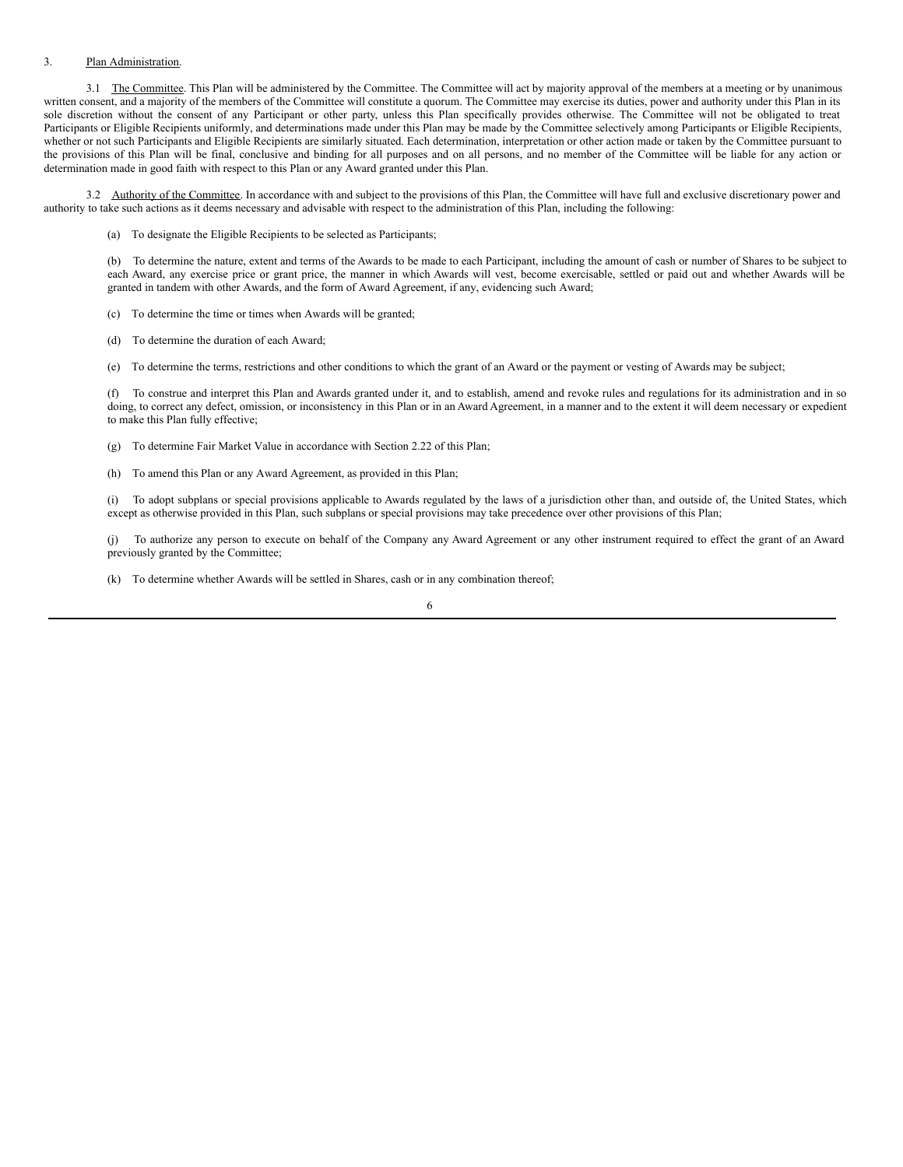### 3. Plan Administration.

3.1 The Committee. This Plan will be administered by the Committee. The Committee will act by majority approval of the members at a meeting or by unanimous written consent, and a majority of the members of the Committee will constitute a quorum. The Committee may exercise its duties, power and authority under this Plan in its sole discretion without the consent of any Participant or other party, unless this Plan specifically provides otherwise. The Committee will not be obligated to treat Participants or Eligible Recipients uniformly, and determinations made under this Plan may be made by the Committee selectively among Participants or Eligible Recipients, whether or not such Participants and Eligible Recipients are similarly situated. Each determination, interpretation or other action made or taken by the Committee pursuant to the provisions of this Plan will be final, conclusive and binding for all purposes and on all persons, and no member of the Committee will be liable for any action or determination made in good faith with respect to this Plan or any Award granted under this Plan.

3.2 Authority of the Committee. In accordance with and subject to the provisions of this Plan, the Committee will have full and exclusive discretionary power and authority to take such actions as it deems necessary and advisable with respect to the administration of this Plan, including the following:

(a) To designate the Eligible Recipients to be selected as Participants;

(b) To determine the nature, extent and terms of the Awards to be made to each Participant, including the amount of cash or number of Shares to be subject to each Award, any exercise price or grant price, the manner in which Awards will vest, become exercisable, settled or paid out and whether Awards will be granted in tandem with other Awards, and the form of Award Agreement, if any, evidencing such Award;

- (c) To determine the time or times when Awards will be granted;
- (d) To determine the duration of each Award;
- (e) To determine the terms, restrictions and other conditions to which the grant of an Award or the payment or vesting of Awards may be subject;

(f) To construe and interpret this Plan and Awards granted under it, and to establish, amend and revoke rules and regulations for its administration and in so doing, to correct any defect, omission, or inconsistency in this Plan or in an Award Agreement, in a manner and to the extent it will deem necessary or expedient to make this Plan fully effective;

- (g) To determine Fair Market Value in accordance with Section 2.22 of this Plan;
- (h) To amend this Plan or any Award Agreement, as provided in this Plan;

(i) To adopt subplans or special provisions applicable to Awards regulated by the laws of a jurisdiction other than, and outside of, the United States, which except as otherwise provided in this Plan, such subplans or special provisions may take precedence over other provisions of this Plan;

To authorize any person to execute on behalf of the Company any Award Agreement or any other instrument required to effect the grant of an Award previously granted by the Committee;

(k) To determine whether Awards will be settled in Shares, cash or in any combination thereof;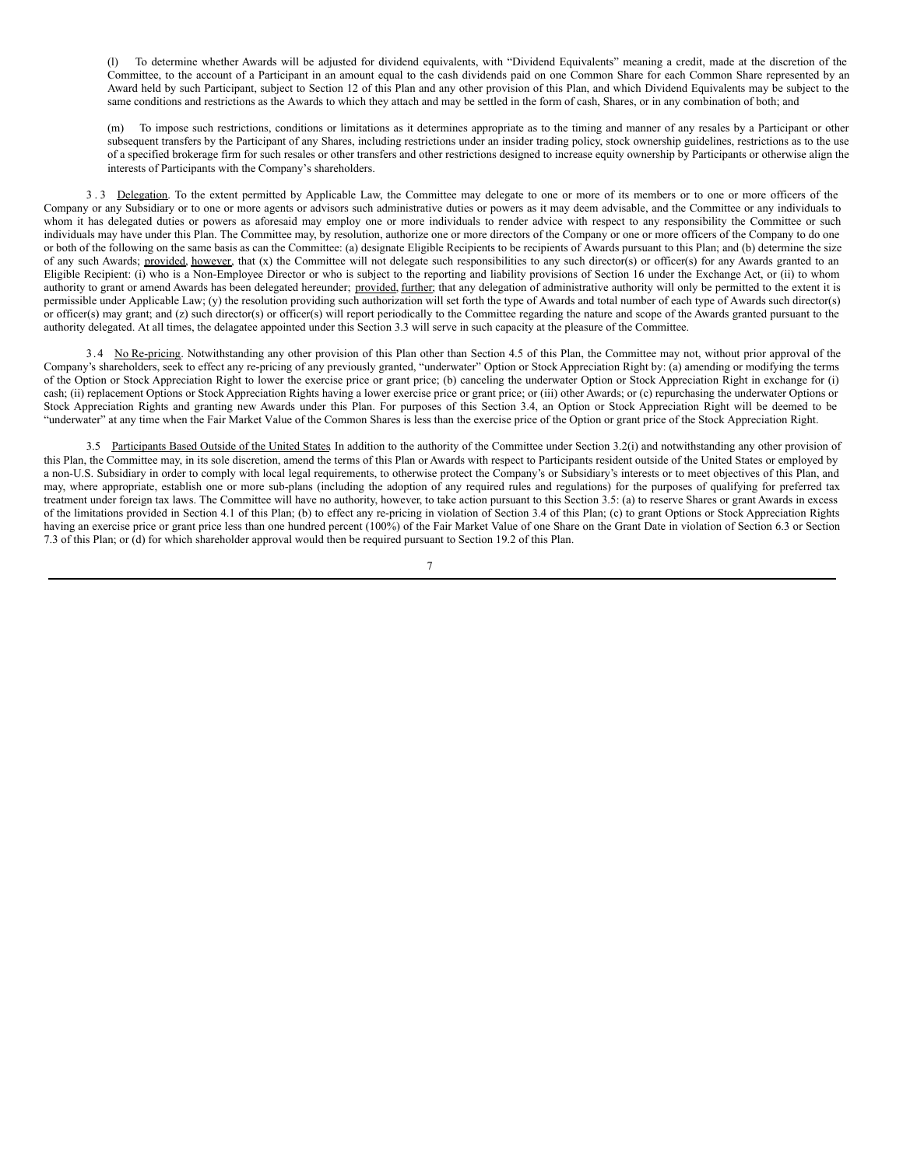(l) To determine whether Awards will be adjusted for dividend equivalents, with "Dividend Equivalents" meaning a credit, made at the discretion of the Committee, to the account of a Participant in an amount equal to the cash dividends paid on one Common Share for each Common Share represented by an Award held by such Participant, subject to Section 12 of this Plan and any other provision of this Plan, and which Dividend Equivalents may be subject to the same conditions and restrictions as the Awards to which they attach and may be settled in the form of cash, Shares, or in any combination of both; and

(m) To impose such restrictions, conditions or limitations as it determines appropriate as to the timing and manner of any resales by a Participant or other subsequent transfers by the Participant of any Shares, including restrictions under an insider trading policy, stock ownership guidelines, restrictions as to the use of a specified brokerage firm for such resales or other transfers and other restrictions designed to increase equity ownership by Participants or otherwise align the interests of Participants with the Company's shareholders.

3.3 Delegation. To the extent permitted by Applicable Law, the Committee may delegate to one or more of its members or to one or more officers of the Company or any Subsidiary or to one or more agents or advisors such administrative duties or powers as it may deem advisable, and the Committee or any individuals to whom it has delegated duties or powers as aforesaid may employ one or more individuals to render advice with respect to any responsibility the Committee or such individuals may have under this Plan. The Committee may, by resolution, authorize one or more directors of the Company or one or more officers of the Company to do one or both of the following on the same basis as can the Committee: (a) designate Eligible Recipients to be recipients of Awards pursuant to this Plan; and (b) determine the size of any such Awards; provided, however, that (x) the Committee will not delegate such responsibilities to any such director(s) or officer(s) for any Awards granted to an Eligible Recipient: (i) who is a Non-Employee Director or who is subject to the reporting and liability provisions of Section 16 under the Exchange Act, or (ii) to whom authority to grant or amend Awards has been delegated hereunder; provided, further; that any delegation of administrative authority will only be permitted to the extent it is permissible under Applicable Law; (y) the resolution providing such authorization will set forth the type of Awards and total number of each type of Awards such director(s) or officer(s) may grant; and (z) such director(s) or officer(s) will report periodically to the Committee regarding the nature and scope of the Awards granted pursuant to the authority delegated. At all times, the delagatee appointed under this Section 3.3 will serve in such capacity at the pleasure of the Committee.

3.4 No Re-pricing. Notwithstanding any other provision of this Plan other than Section 4.5 of this Plan, the Committee may not, without prior approval of the Company's shareholders, seek to effect any re-pricing of any previously granted, "underwater" Option or Stock Appreciation Right by: (a) amending or modifying the terms of the Option or Stock Appreciation Right to lower the exercise price or grant price; (b) canceling the underwater Option or Stock Appreciation Right in exchange for (i) cash; (ii) replacement Options or Stock Appreciation Rights having a lower exercise price or grant price; or (iii) other Awards; or (c) repurchasing the underwater Options or Stock Appreciation Rights and granting new Awards under this Plan. For purposes of this Section 3.4, an Option or Stock Appreciation Right will be deemed to be "underwater" at any time when the Fair Market Value of the Common Shares is less than the exercise price of the Option or grant price of the Stock Appreciation Right.

3.5 Participants Based Outside of the United States. In addition to the authority of the Committee under Section 3.2(i) and notwithstanding any other provision of this Plan, the Committee may, in its sole discretion, amend the terms of this Plan or Awards with respect to Participants resident outside of the United States or employed by a non-U.S. Subsidiary in order to comply with local legal requirements, to otherwise protect the Company's or Subsidiary's interests or to meet objectives of this Plan, and may, where appropriate, establish one or more sub-plans (including the adoption of any required rules and regulations) for the purposes of qualifying for preferred tax treatment under foreign tax laws. The Committee will have no authority, however, to take action pursuant to this Section 3.5: (a) to reserve Shares or grant Awards in excess of the limitations provided in Section 4.1 of this Plan; (b) to effect any re-pricing in violation of Section 3.4 of this Plan; (c) to grant Options or Stock Appreciation Rights having an exercise price or grant price less than one hundred percent (100%) of the Fair Market Value of one Share on the Grant Date in violation of Section 6.3 or Section 7.3 of this Plan; or (d) for which shareholder approval would then be required pursuant to Section 19.2 of this Plan.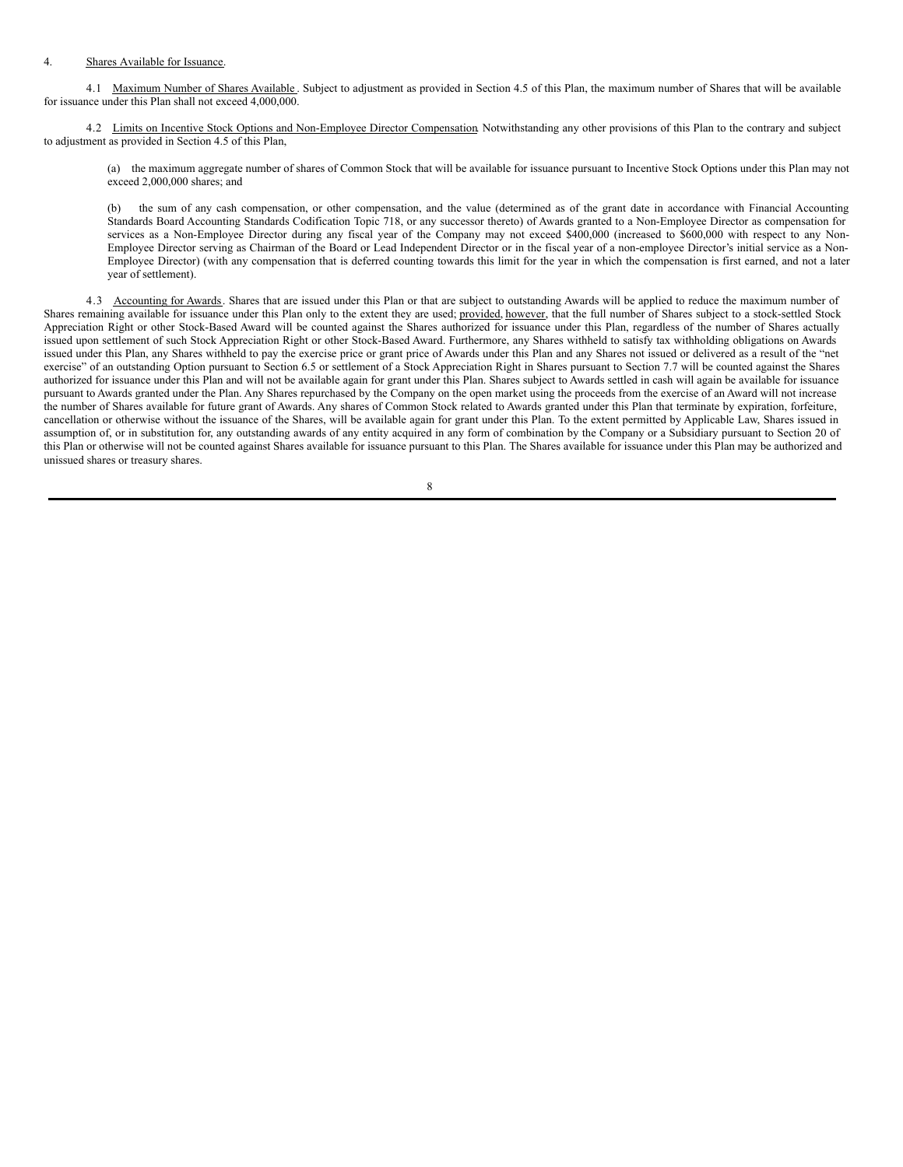#### 4. Shares Available for Issuance.

4.1 Maximum Number of Shares Available. Subject to adjustment as provided in Section 4.5 of this Plan, the maximum number of Shares that will be available for issuance under this Plan shall not exceed 4,000,000.

4.2 Limits on Incentive Stock Options and Non-Employee Director Compensation. Notwithstanding any other provisions of this Plan to the contrary and subject to adjustment as provided in Section 4.5 of this Plan,

(a) the maximum aggregate number of shares of Common Stock that will be available for issuance pursuant to Incentive Stock Options under this Plan may not exceed 2,000,000 shares; and

(b) the sum of any cash compensation, or other compensation, and the value (determined as of the grant date in accordance with Financial Accounting Standards Board Accounting Standards Codification Topic 718, or any successor thereto) of Awards granted to a Non-Employee Director as compensation for services as a Non-Employee Director during any fiscal year of the Company may not exceed \$400,000 (increased to \$600,000 with respect to any Non-Employee Director serving as Chairman of the Board or Lead Independent Director or in the fiscal year of a non-employee Director's initial service as a Non-Employee Director) (with any compensation that is deferred counting towards this limit for the year in which the compensation is first earned, and not a later year of settlement).

4.3 Accounting for Awards. Shares that are issued under this Plan or that are subject to outstanding Awards will be applied to reduce the maximum number of Shares remaining available for issuance under this Plan only to the extent they are used; provided, however, that the full number of Shares subject to a stock-settled Stock Appreciation Right or other Stock-Based Award will be counted against the Shares authorized for issuance under this Plan, regardless of the number of Shares actually issued upon settlement of such Stock Appreciation Right or other Stock-Based Award. Furthermore, any Shares withheld to satisfy tax withholding obligations on Awards issued under this Plan, any Shares withheld to pay the exercise price or grant price of Awards under this Plan and any Shares not issued or delivered as a result of the "net exercise" of an outstanding Option pursuant to Section 6.5 or settlement of a Stock Appreciation Right in Shares pursuant to Section 7.7 will be counted against the Shares authorized for issuance under this Plan and will not be available again for grant under this Plan. Shares subject to Awards settled in cash will again be available for issuance pursuant to Awards granted under the Plan. Any Shares repurchased by the Company on the open market using the proceeds from the exercise of an Award will not increase the number of Shares available for future grant of Awards. Any shares of Common Stock related to Awards granted under this Plan that terminate by expiration, forfeiture, cancellation or otherwise without the issuance of the Shares, will be available again for grant under this Plan. To the extent permitted by Applicable Law, Shares issued in assumption of, or in substitution for, any outstanding awards of any entity acquired in any form of combination by the Company or a Subsidiary pursuant to Section 20 of this Plan or otherwise will not be counted against Shares available for issuance pursuant to this Plan. The Shares available for issuance under this Plan may be authorized and unissued shares or treasury shares.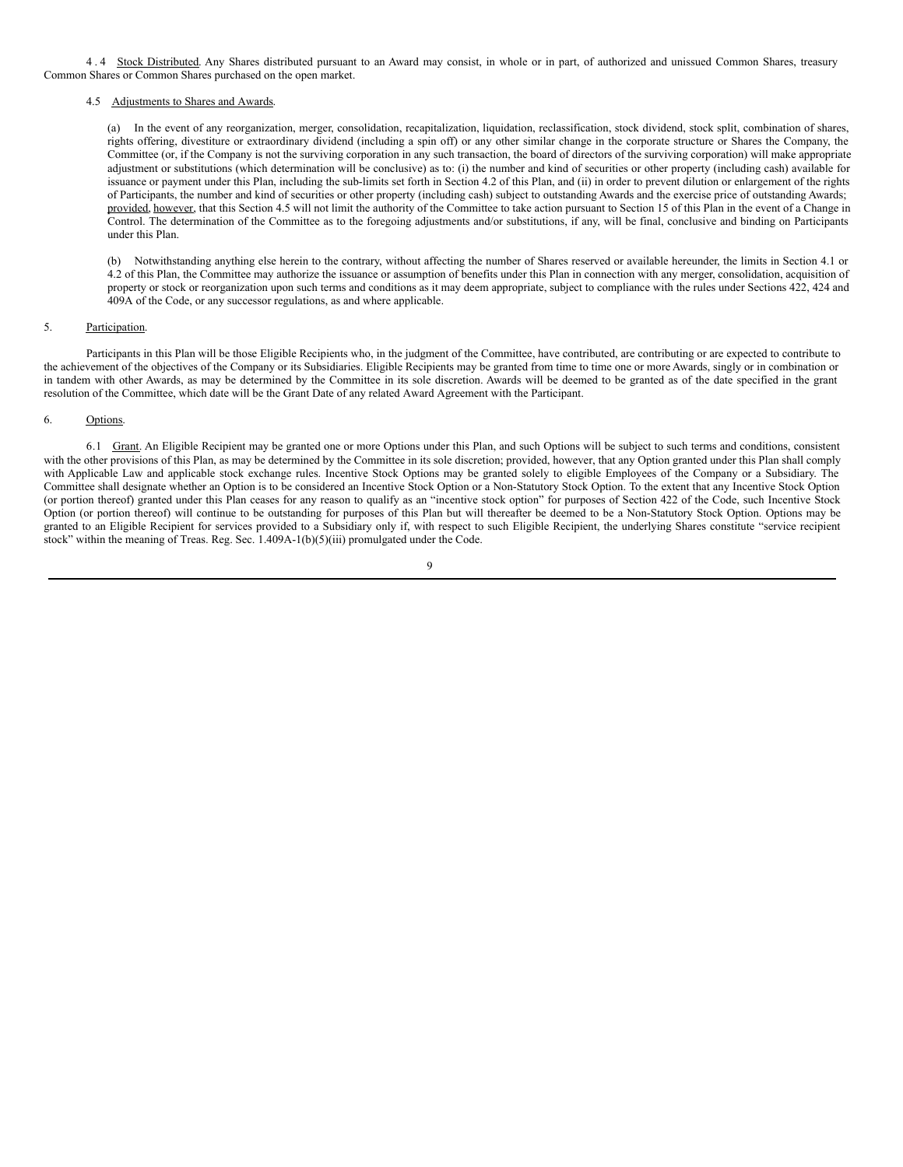4.4 Stock Distributed. Any Shares distributed pursuant to an Award may consist, in whole or in part, of authorized and unissued Common Shares, treasury Common Shares or Common Shares purchased on the open market.

### 4.5 Adjustments to Shares and Awards.

(a) In the event of any reorganization, merger, consolidation, recapitalization, liquidation, reclassification, stock dividend, stock split, combination of shares, rights offering, divestiture or extraordinary dividend (including a spin off) or any other similar change in the corporate structure or Shares the Company, the Committee (or, if the Company is not the surviving corporation in any such transaction, the board of directors of the surviving corporation) will make appropriate adjustment or substitutions (which determination will be conclusive) as to: (i) the number and kind of securities or other property (including cash) available for issuance or payment under this Plan, including the sub-limits set forth in Section 4.2 of this Plan, and (ii) in order to prevent dilution or enlargement of the rights of Participants, the number and kind of securities or other property (including cash) subject to outstanding Awards and the exercise price of outstanding Awards; provided, however, that this Section 4.5 will not limit the authority of the Committee to take action pursuant to Section 15 of this Plan in the event of a Change in Control. The determination of the Committee as to the foregoing adjustments and/or substitutions, if any, will be final, conclusive and binding on Participants under this Plan.

(b) Notwithstanding anything else herein to the contrary, without affecting the number of Shares reserved or available hereunder, the limits in Section 4.1 or 4.2 of this Plan, the Committee may authorize the issuance or assumption of benefits under this Plan in connection with any merger, consolidation, acquisition of property or stock or reorganization upon such terms and conditions as it may deem appropriate, subject to compliance with the rules under Sections 422, 424 and 409A of the Code, or any successor regulations, as and where applicable.

### 5. Participation.

Participants in this Plan will be those Eligible Recipients who, in the judgment of the Committee, have contributed, are contributing or are expected to contribute to the achievement of the objectives of the Company or its Subsidiaries. Eligible Recipients may be granted from time to time one or more Awards, singly or in combination or in tandem with other Awards, as may be determined by the Committee in its sole discretion. Awards will be deemed to be granted as of the date specified in the grant resolution of the Committee, which date will be the Grant Date of any related Award Agreement with the Participant.

### 6. Options.

6.1 Grant. An Eligible Recipient may be granted one or more Options under this Plan, and such Options will be subject to such terms and conditions, consistent with the other provisions of this Plan, as may be determined by the Committee in its sole discretion; provided, however, that any Option granted under this Plan shall comply with Applicable Law and applicable stock exchange rules. Incentive Stock Options may be granted solely to eligible Employees of the Company or a Subsidiary. The Committee shall designate whether an Option is to be considered an Incentive Stock Option or a Non-Statutory Stock Option. To the extent that any Incentive Stock Option (or portion thereof) granted under this Plan ceases for any reason to qualify as an "incentive stock option" for purposes of Section 422 of the Code, such Incentive Stock Option (or portion thereof) will continue to be outstanding for purposes of this Plan but will thereafter be deemed to be a Non-Statutory Stock Option. Options may be granted to an Eligible Recipient for services provided to a Subsidiary only if, with respect to such Eligible Recipient, the underlying Shares constitute "service recipient stock" within the meaning of Treas. Reg. Sec. 1.409A-1(b)(5)(iii) promulgated under the Code.

### $\overline{Q}$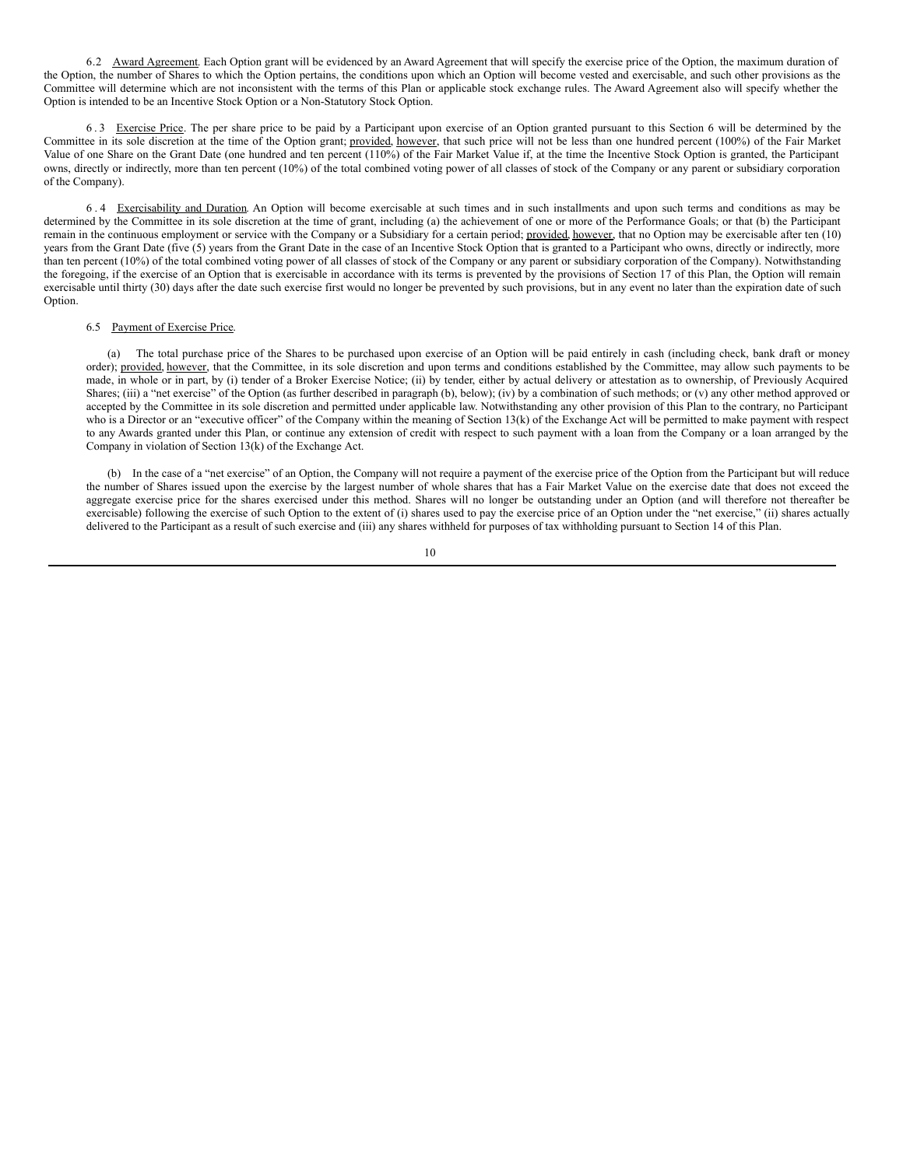6.2 Award Agreement. Each Option grant will be evidenced by an Award Agreement that will specify the exercise price of the Option, the maximum duration of the Option, the number of Shares to which the Option pertains, the conditions upon which an Option will become vested and exercisable, and such other provisions as the Committee will determine which are not inconsistent with the terms of this Plan or applicable stock exchange rules. The Award Agreement also will specify whether the Option is intended to be an Incentive Stock Option or a Non-Statutory Stock Option.

6 . 3 Exercise Price. The per share price to be paid by a Participant upon exercise of an Option granted pursuant to this Section 6 will be determined by the Committee in its sole discretion at the time of the Option grant; provided, however, that such price will not be less than one hundred percent (100%) of the Fair Market Value of one Share on the Grant Date (one hundred and ten percent (110%) of the Fair Market Value if, at the time the Incentive Stock Option is granted, the Participant owns, directly or indirectly, more than ten percent (10%) of the total combined voting power of all classes of stock of the Company or any parent or subsidiary corporation of the Company).

6 . 4 Exercisability and Duration. An Option will become exercisable at such times and in such installments and upon such terms and conditions as may be determined by the Committee in its sole discretion at the time of grant, including (a) the achievement of one or more of the Performance Goals; or that (b) the Participant remain in the continuous employment or service with the Company or a Subsidiary for a certain period; provided, however, that no Option may be exercisable after ten (10) years from the Grant Date (five (5) years from the Grant Date in the case of an Incentive Stock Option that is granted to a Participant who owns, directly or indirectly, more than ten percent (10%) of the total combined voting power of all classes of stock of the Company or any parent or subsidiary corporation of the Company). Notwithstanding the foregoing, if the exercise of an Option that is exercisable in accordance with its terms is prevented by the provisions of Section 17 of this Plan, the Option will remain exercisable until thirty (30) days after the date such exercise first would no longer be prevented by such provisions, but in any event no later than the expiration date of such Option.

#### 6.5 Payment of Exercise Price.

(a) The total purchase price of the Shares to be purchased upon exercise of an Option will be paid entirely in cash (including check, bank draft or money order); provided, however, that the Committee, in its sole discretion and upon terms and conditions established by the Committee, may allow such payments to be made, in whole or in part, by (i) tender of a Broker Exercise Notice; (ii) by tender, either by actual delivery or attestation as to ownership, of Previously Acquired Shares; (iii) a "net exercise" of the Option (as further described in paragraph (b), below); (iv) by a combination of such methods; or (v) any other method approved or accepted by the Committee in its sole discretion and permitted under applicable law. Notwithstanding any other provision of this Plan to the contrary, no Participant who is a Director or an "executive officer" of the Company within the meaning of Section 13(k) of the Exchange Act will be permitted to make payment with respect to any Awards granted under this Plan, or continue any extension of credit with respect to such payment with a loan from the Company or a loan arranged by the Company in violation of Section 13(k) of the Exchange Act.

(b) In the case of a "net exercise" of an Option, the Company will not require a payment of the exercise price of the Option from the Participant but will reduce the number of Shares issued upon the exercise by the largest number of whole shares that has a Fair Market Value on the exercise date that does not exceed the aggregate exercise price for the shares exercised under this method. Shares will no longer be outstanding under an Option (and will therefore not thereafter be exercisable) following the exercise of such Option to the extent of (i) shares used to pay the exercise price of an Option under the "net exercise," (ii) shares actually delivered to the Participant as a result of such exercise and (iii) any shares withheld for purposes of tax withholding pursuant to Section 14 of this Plan.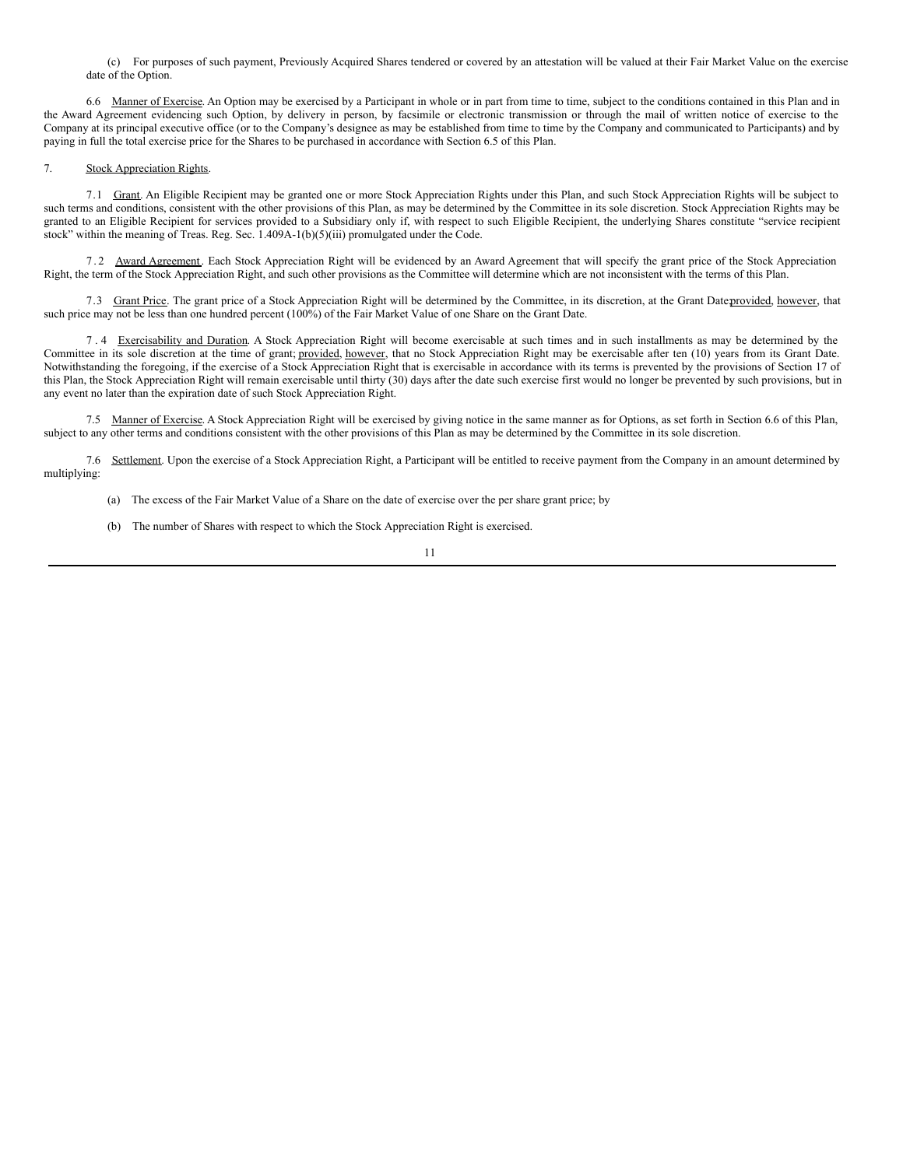(c) For purposes of such payment, Previously Acquired Shares tendered or covered by an attestation will be valued at their Fair Market Value on the exercise date of the Option.

6.6 Manner of Exercise. An Option may be exercised by a Participant in whole or in part from time to time, subject to the conditions contained in this Plan and in the Award Agreement evidencing such Option, by delivery in person, by facsimile or electronic transmission or through the mail of written notice of exercise to the Company at its principal executive office (or to the Company's designee as may be established from time to time by the Company and communicated to Participants) and by paying in full the total exercise price for the Shares to be purchased in accordance with Section 6.5 of this Plan.

### 7. Stock Appreciation Rights.

7.1 Grant. An Eligible Recipient may be granted one or more Stock Appreciation Rights under this Plan, and such Stock Appreciation Rights will be subject to such terms and conditions, consistent with the other provisions of this Plan, as may be determined by the Committee in its sole discretion. Stock Appreciation Rights may be granted to an Eligible Recipient for services provided to a Subsidiary only if, with respect to such Eligible Recipient, the underlying Shares constitute "service recipient stock" within the meaning of Treas. Reg. Sec. 1.409A-1(b)(5)(iii) promulgated under the Code.

7 . 2 Award Agreement. Each Stock Appreciation Right will be evidenced by an Award Agreement that will specify the grant price of the Stock Appreciation Right, the term of the Stock Appreciation Right, and such other provisions as the Committee will determine which are not inconsistent with the terms of this Plan.

7.3 Grant Price. The grant price of a Stock Appreciation Right will be determined by the Committee, in its discretion, at the Grant Dateprovided, however, that such price may not be less than one hundred percent (100%) of the Fair Market Value of one Share on the Grant Date.

7 . 4 Exercisability and Duration. A Stock Appreciation Right will become exercisable at such times and in such installments as may be determined by the Committee in its sole discretion at the time of grant; provided, however, that no Stock Appreciation Right may be exercisable after ten (10) years from its Grant Date. Notwithstanding the foregoing, if the exercise of a Stock Appreciation Right that is exercisable in accordance with its terms is prevented by the provisions of Section 17 of this Plan, the Stock Appreciation Right will remain exercisable until thirty (30) days after the date such exercise first would no longer be prevented by such provisions, but in any event no later than the expiration date of such Stock Appreciation Right.

7.5 Manner of Exercise. A Stock Appreciation Right will be exercised by giving notice in the same manner as for Options, as set forth in Section 6.6 of this Plan, subject to any other terms and conditions consistent with the other provisions of this Plan as may be determined by the Committee in its sole discretion.

7.6 Settlement. Upon the exercise of a Stock Appreciation Right, a Participant will be entitled to receive payment from the Company in an amount determined by multiplying:

- (a) The excess of the Fair Market Value of a Share on the date of exercise over the per share grant price; by
- (b) The number of Shares with respect to which the Stock Appreciation Right is exercised.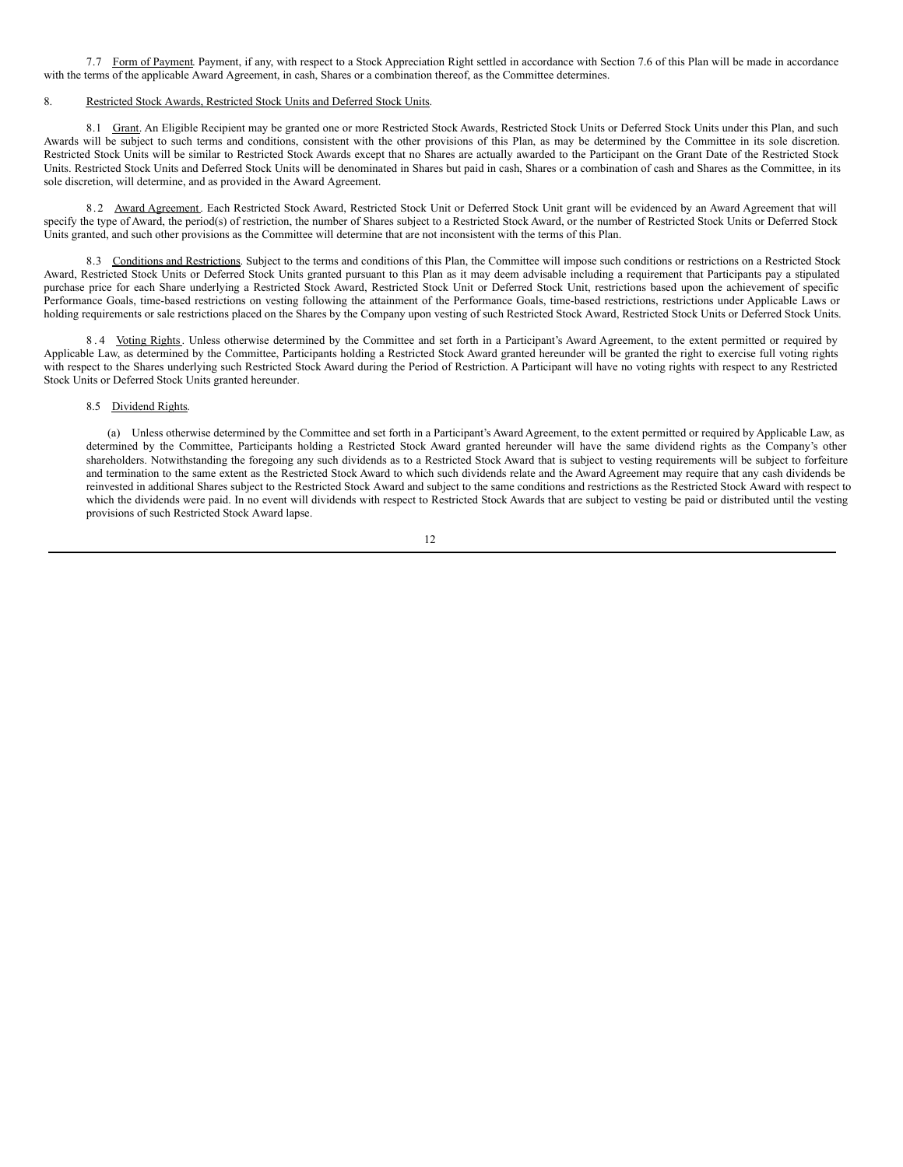<span id="page-17-0"></span>7.7 Form of Payment. Payment, if any, with respect to a Stock Appreciation Right settled in accordance with Section 7.6 of this Plan will be made in accordance with the terms of the applicable Award Agreement, in cash, Shares or a combination thereof, as the Committee determines.

#### 8. Restricted Stock Awards, Restricted Stock Units and Deferred Stock Units.

8.1 Grant. An Eligible Recipient may be granted one or more Restricted Stock Awards, Restricted Stock Units or Deferred Stock Units under this Plan, and such Awards will be subject to such terms and conditions, consistent with the other provisions of this Plan, as may be determined by the Committee in its sole discretion. Restricted Stock Units will be similar to Restricted Stock Awards except that no Shares are actually awarded to the Participant on the Grant Date of the Restricted Stock Units. Restricted Stock Units and Deferred Stock Units will be denominated in Shares but paid in cash, Shares or a combination of cash and Shares as the Committee, in its sole discretion, will determine, and as provided in the Award Agreement.

8.2 Award Agreement. Each Restricted Stock Award, Restricted Stock Unit or Deferred Stock Unit grant will be evidenced by an Award Agreement that will specify the type of Award, the period(s) of restriction, the number of Shares subject to a Restricted Stock Award, or the number of Restricted Stock Units or Deferred Stock Units granted, and such other provisions as the Committee will determine that are not inconsistent with the terms of this Plan.

8.3 Conditions and Restrictions. Subject to the terms and conditions of this Plan, the Committee will impose such conditions or restrictions on a Restricted Stock Award, Restricted Stock Units or Deferred Stock Units granted pursuant to this Plan as it may deem advisable including a requirement that Participants pay a stipulated purchase price for each Share underlying a Restricted Stock Award, Restricted Stock Unit or Deferred Stock Unit, restrictions based upon the achievement of specific Performance Goals, time-based restrictions on vesting following the attainment of the Performance Goals, time-based restrictions, restrictions under Applicable Laws or holding requirements or sale restrictions placed on the Shares by the Company upon vesting of such Restricted Stock Award, Restricted Stock Units or Deferred Stock Units.

8.4 Voting Rights. Unless otherwise determined by the Committee and set forth in a Participant's Award Agreement, to the extent permitted or required by Applicable Law, as determined by the Committee, Participants holding a Restricted Stock Award granted hereunder will be granted the right to exercise full voting rights with respect to the Shares underlying such Restricted Stock Award during the Period of Restriction. A Participant will have no voting rights with respect to any Restricted Stock Units or Deferred Stock Units granted hereunder.

#### 8.5 Dividend Rights.

(a) Unless otherwise determined by the Committee and set forth in a Participant's Award Agreement, to the extent permitted or required by Applicable Law, as determined by the Committee, Participants holding a Restricted Stock Award granted hereunder will have the same dividend rights as the Company's other shareholders. Notwithstanding the foregoing any such dividends as to a Restricted Stock Award that is subject to vesting requirements will be subject to forfeiture and termination to the same extent as the Restricted Stock Award to which such dividends relate and the Award Agreement may require that any cash dividends be reinvested in additional Shares subject to the Restricted Stock Award and subject to the same conditions and restrictions as the Restricted Stock Award with respect to which the dividends were paid. In no event will dividends with respect to Restricted Stock Awards that are subject to vesting be paid or distributed until the vesting provisions of such Restricted Stock Award lapse.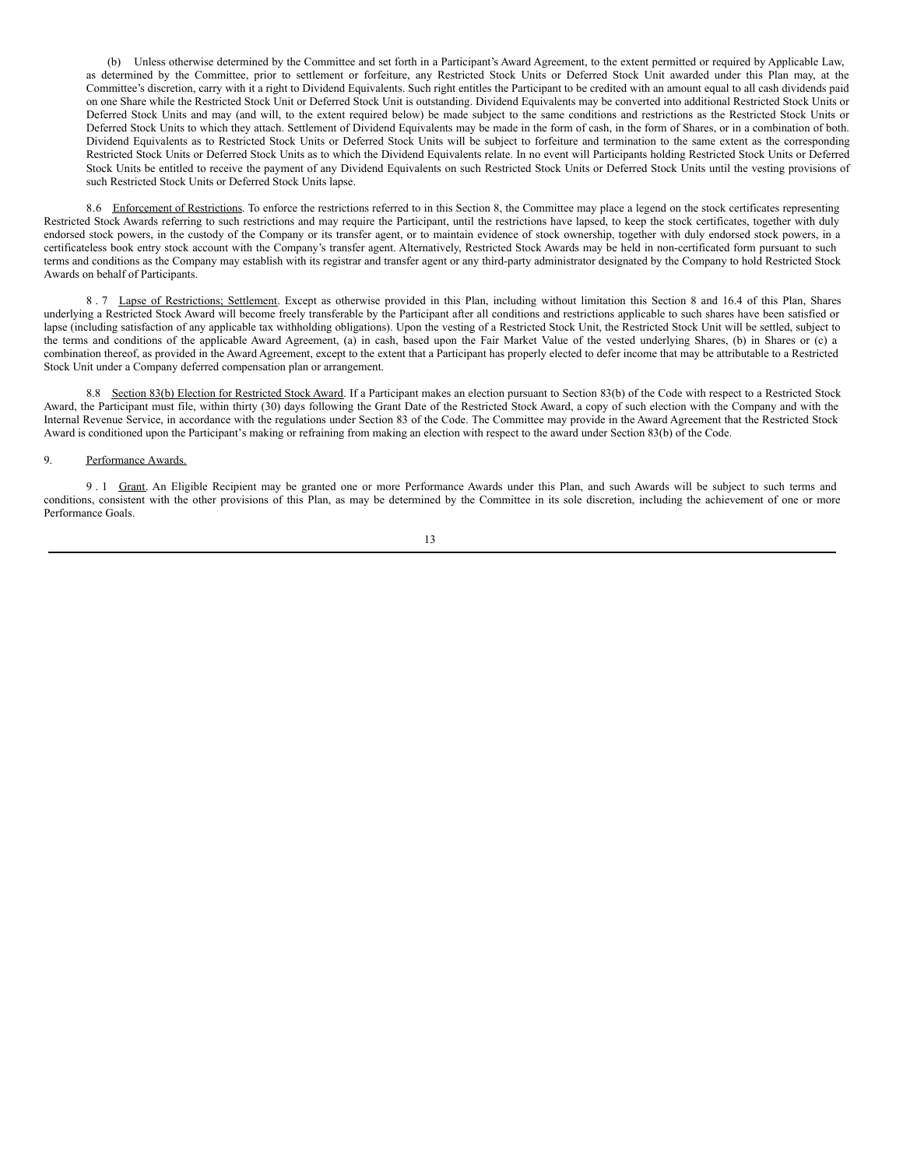(b) Unless otherwise determined by the Committee and set forth in a Participant's Award Agreement, to the extent permitted or required by Applicable Law, as determined by the Committee, prior to settlement or forfeiture, any Restricted Stock Units or Deferred Stock Unit awarded under this Plan may, at the Committee's discretion, carry with it a right to Dividend Equivalents. Such right entitles the Participant to be credited with an amount equal to all cash dividends paid on one Share while the Restricted Stock Unit or Deferred Stock Unit is outstanding. Dividend Equivalents may be converted into additional Restricted Stock Units or Deferred Stock Units and may (and will, to the extent required below) be made subject to the same conditions and restrictions as the Restricted Stock Units or Deferred Stock Units to which they attach. Settlement of Dividend Equivalents may be made in the form of cash, in the form of Shares, or in a combination of both. Dividend Equivalents as to Restricted Stock Units or Deferred Stock Units will be subject to forfeiture and termination to the same extent as the corresponding Restricted Stock Units or Deferred Stock Units as to which the Dividend Equivalents relate. In no event will Participants holding Restricted Stock Units or Deferred Stock Units be entitled to receive the payment of any Dividend Equivalents on such Restricted Stock Units or Deferred Stock Units until the vesting provisions of such Restricted Stock Units or Deferred Stock Units lapse.

8.6 Enforcement of Restrictions. To enforce the restrictions referred to in this Section 8, the Committee may place a legend on the stock certificates representing Restricted Stock Awards referring to such restrictions and may require the Participant, until the restrictions have lapsed, to keep the stock certificates, together with duly endorsed stock powers, in the custody of the Company or its transfer agent, or to maintain evidence of stock ownership, together with duly endorsed stock powers, in a certificateless book entry stock account with the Company's transfer agent. Alternatively, Restricted Stock Awards may be held in non-certificated form pursuant to such terms and conditions as the Company may establish with its registrar and transfer agent or any third-party administrator designated by the Company to hold Restricted Stock Awards on behalf of Participants.

8 . 7 Lapse of Restrictions; Settlement. Except as otherwise provided in this Plan, including without limitation this Section 8 and 16.4 of this Plan, Shares underlying a Restricted Stock Award will become freely transferable by the Participant after all conditions and restrictions applicable to such shares have been satisfied or lapse (including satisfaction of any applicable tax withholding obligations). Upon the vesting of a Restricted Stock Unit, the Restricted Stock Unit will be settled, subject to the terms and conditions of the applicable Award Agreement, (a) in cash, based upon the Fair Market Value of the vested underlying Shares, (b) in Shares or (c) a combination thereof, as provided in the Award Agreement, except to the extent that a Participant has properly elected to defer income that may be attributable to a Restricted Stock Unit under a Company deferred compensation plan or arrangement.

8.8 Section 83(b) Election for Restricted Stock Award. If a Participant makes an election pursuant to Section 83(b) of the Code with respect to a Restricted Stock Award, the Participant must file, within thirty (30) days following the Grant Date of the Restricted Stock Award, a copy of such election with the Company and with the Internal Revenue Service, in accordance with the regulations under Section 83 of the Code. The Committee may provide in the Award Agreement that the Restricted Stock Award is conditioned upon the Participant's making or refraining from making an election with respect to the award under Section 83(b) of the Code.

### 9. Performance Awards.

9 . 1 Grant. An Eligible Recipient may be granted one or more Performance Awards under this Plan, and such Awards will be subject to such terms and conditions, consistent with the other provisions of this Plan, as may be determined by the Committee in its sole discretion, including the achievement of one or more Performance Goals.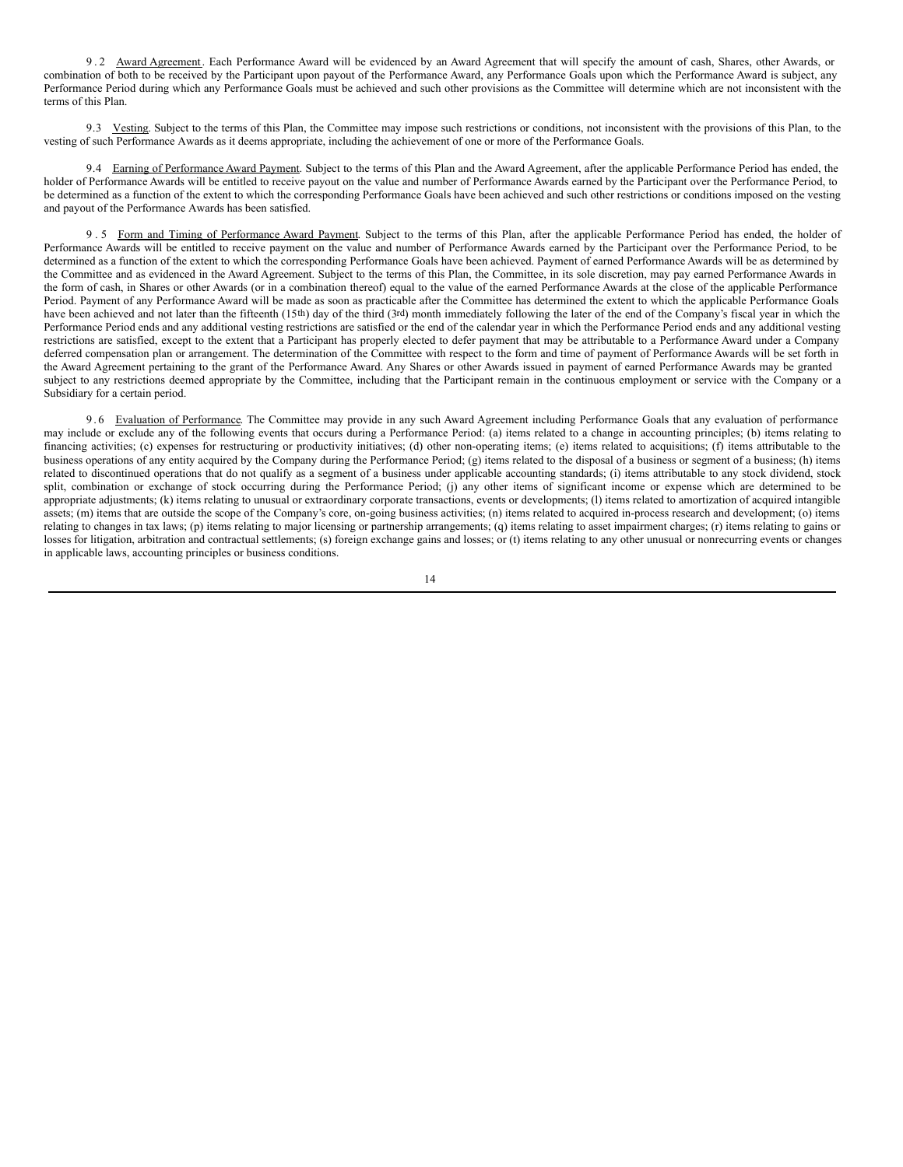9.2 Award Agreement. Each Performance Award will be evidenced by an Award Agreement that will specify the amount of cash, Shares, other Awards, or combination of both to be received by the Participant upon payout of the Performance Award, any Performance Goals upon which the Performance Award is subject, any Performance Period during which any Performance Goals must be achieved and such other provisions as the Committee will determine which are not inconsistent with the terms of this Plan.

9.3 Vesting. Subject to the terms of this Plan, the Committee may impose such restrictions or conditions, not inconsistent with the provisions of this Plan, to the vesting of such Performance Awards as it deems appropriate, including the achievement of one or more of the Performance Goals.

9.4 Earning of Performance Award Payment. Subject to the terms of this Plan and the Award Agreement, after the applicable Performance Period has ended, the holder of Performance Awards will be entitled to receive payout on the value and number of Performance Awards earned by the Participant over the Performance Period, to be determined as a function of the extent to which the corresponding Performance Goals have been achieved and such other restrictions or conditions imposed on the vesting and payout of the Performance Awards has been satisfied.

9.5 Form and Timing of Performance Award Payment. Subject to the terms of this Plan, after the applicable Performance Period has ended, the holder of Performance Awards will be entitled to receive payment on the value and number of Performance Awards earned by the Participant over the Performance Period, to be determined as a function of the extent to which the corresponding Performance Goals have been achieved. Payment of earned Performance Awards will be as determined by the Committee and as evidenced in the Award Agreement. Subject to the terms of this Plan, the Committee, in its sole discretion, may pay earned Performance Awards in the form of cash, in Shares or other Awards (or in a combination thereof) equal to the value of the earned Performance Awards at the close of the applicable Performance Period. Payment of any Performance Award will be made as soon as practicable after the Committee has determined the extent to which the applicable Performance Goals have been achieved and not later than the fifteenth (15<sup>th</sup>) day of the third (3rd) month immediately following the later of the end of the Company's fiscal year in which the Performance Period ends and any additional vesting restrictions are satisfied or the end of the calendar year in which the Performance Period ends and any additional vesting restrictions are satisfied, except to the extent that a Participant has properly elected to defer payment that may be attributable to a Performance Award under a Company deferred compensation plan or arrangement. The determination of the Committee with respect to the form and time of payment of Performance Awards will be set forth in the Award Agreement pertaining to the grant of the Performance Award. Any Shares or other Awards issued in payment of earned Performance Awards may be granted subject to any restrictions deemed appropriate by the Committee, including that the Participant remain in the continuous employment or service with the Company or a Subsidiary for a certain period.

9.6 Evaluation of Performance. The Committee may provide in any such Award Agreement including Performance Goals that any evaluation of performance may include or exclude any of the following events that occurs during a Performance Period: (a) items related to a change in accounting principles; (b) items relating to financing activities; (c) expenses for restructuring or productivity initiatives; (d) other non-operating items; (e) items related to acquisitions; (f) items attributable to the business operations of any entity acquired by the Company during the Performance Period; (g) items related to the disposal of a business or segment of a business; (h) items related to discontinued operations that do not qualify as a segment of a business under applicable accounting standards; (i) items attributable to any stock dividend, stock split, combination or exchange of stock occurring during the Performance Period; (j) any other items of significant income or expense which are determined to be appropriate adjustments; (k) items relating to unusual or extraordinary corporate transactions, events or developments; (l) items related to amortization of acquired intangible assets; (m) items that are outside the scope of the Company's core, on-going business activities; (n) items related to acquired in-process research and development; (o) items relating to changes in tax laws; (p) items relating to major licensing or partnership arrangements; (q) items relating to asset impairment charges; (r) items relating to gains or losses for litigation, arbitration and contractual settlements; (s) foreign exchange gains and losses; or (t) items relating to any other unusual or nonrecurring events or changes in applicable laws, accounting principles or business conditions.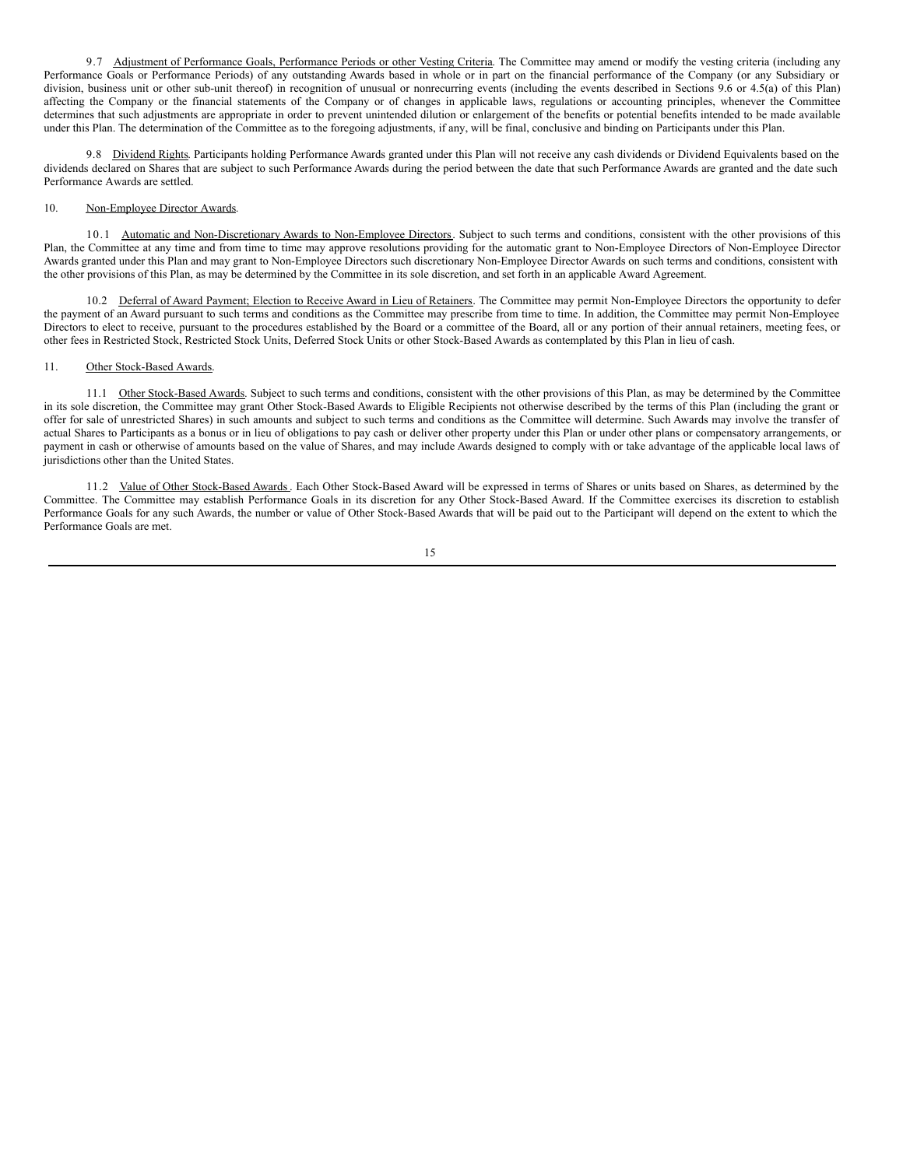9.7 Adjustment of Performance Goals, Performance Periods or other Vesting Criteria. The Committee may amend or modify the vesting criteria (including any Performance Goals or Performance Periods) of any outstanding Awards based in whole or in part on the financial performance of the Company (or any Subsidiary or division, business unit or other sub-unit thereof) in recognition of unusual or nonrecurring events (including the events described in Sections 9.6 or 4.5(a) of this Plan) affecting the Company or the financial statements of the Company or of changes in applicable laws, regulations or accounting principles, whenever the Committee determines that such adjustments are appropriate in order to prevent unintended dilution or enlargement of the benefits or potential benefits intended to be made available under this Plan. The determination of the Committee as to the foregoing adjustments, if any, will be final, conclusive and binding on Participants under this Plan.

9.8 Dividend Rights. Participants holding Performance Awards granted under this Plan will not receive any cash dividends or Dividend Equivalents based on the dividends declared on Shares that are subject to such Performance Awards during the period between the date that such Performance Awards are granted and the date such Performance Awards are settled.

### 10. Non-Employee Director Awards.

10.1 Automatic and Non-Discretionary Awards to Non-Employee Directors. Subject to such terms and conditions, consistent with the other provisions of this Plan, the Committee at any time and from time to time may approve resolutions providing for the automatic grant to Non-Employee Directors of Non-Employee Director Awards granted under this Plan and may grant to Non-Employee Directors such discretionary Non-Employee Director Awards on such terms and conditions, consistent with the other provisions of this Plan, as may be determined by the Committee in its sole discretion, and set forth in an applicable Award Agreement.

10.2 Deferral of Award Payment; Election to Receive Award in Lieu of Retainers. The Committee may permit Non-Employee Directors the opportunity to defer the payment of an Award pursuant to such terms and conditions as the Committee may prescribe from time to time. In addition, the Committee may permit Non-Employee Directors to elect to receive, pursuant to the procedures established by the Board or a committee of the Board, all or any portion of their annual retainers, meeting fees, or other fees in Restricted Stock, Restricted Stock Units, Deferred Stock Units or other Stock-Based Awards as contemplated by this Plan in lieu of cash.

### 11. Other Stock-Based Awards.

11.1 Other Stock-Based Awards. Subject to such terms and conditions, consistent with the other provisions of this Plan, as may be determined by the Committee in its sole discretion, the Committee may grant Other Stock-Based Awards to Eligible Recipients not otherwise described by the terms of this Plan (including the grant or offer for sale of unrestricted Shares) in such amounts and subject to such terms and conditions as the Committee will determine. Such Awards may involve the transfer of actual Shares to Participants as a bonus or in lieu of obligations to pay cash or deliver other property under this Plan or under other plans or compensatory arrangements, or payment in cash or otherwise of amounts based on the value of Shares, and may include Awards designed to comply with or take advantage of the applicable local laws of jurisdictions other than the United States.

11.2 Value of Other Stock-Based Awards. Each Other Stock-Based Award will be expressed in terms of Shares or units based on Shares, as determined by the Committee. The Committee may establish Performance Goals in its discretion for any Other Stock-Based Award. If the Committee exercises its discretion to establish Performance Goals for any such Awards, the number or value of Other Stock-Based Awards that will be paid out to the Participant will depend on the extent to which the Performance Goals are met.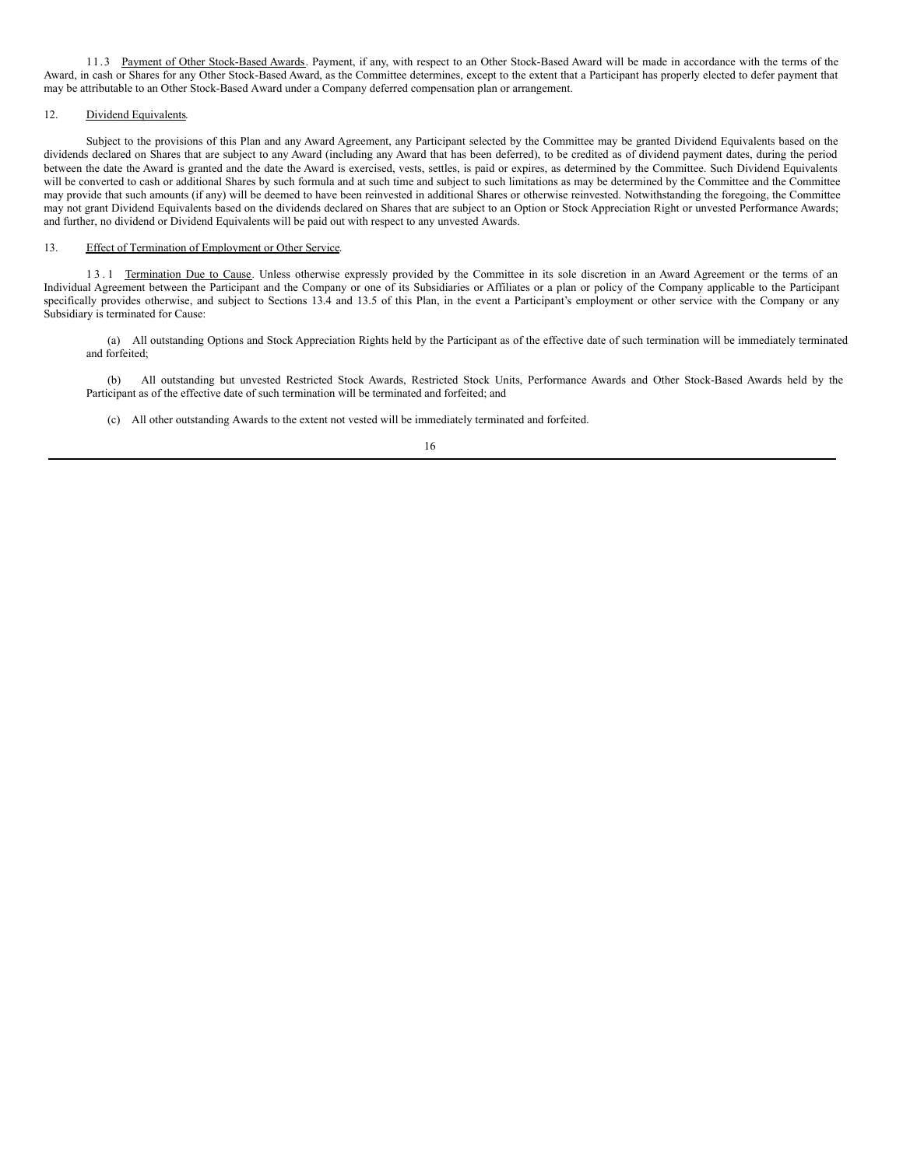11.3 Payment of Other Stock-Based Awards. Payment, if any, with respect to an Other Stock-Based Award will be made in accordance with the terms of the Award, in cash or Shares for any Other Stock-Based Award, as the Committee determines, except to the extent that a Participant has properly elected to defer payment that may be attributable to an Other Stock-Based Award under a Company deferred compensation plan or arrangement.

### 12. Dividend Equivalents.

Subject to the provisions of this Plan and any Award Agreement, any Participant selected by the Committee may be granted Dividend Equivalents based on the dividends declared on Shares that are subject to any Award (including any Award that has been deferred), to be credited as of dividend payment dates, during the period between the date the Award is granted and the date the Award is exercised, vests, settles, is paid or expires, as determined by the Committee. Such Dividend Equivalents will be converted to cash or additional Shares by such formula and at such time and subject to such limitations as may be determined by the Committee and the Committee may provide that such amounts (if any) will be deemed to have been reinvested in additional Shares or otherwise reinvested. Notwithstanding the foregoing, the Committee may not grant Dividend Equivalents based on the dividends declared on Shares that are subject to an Option or Stock Appreciation Right or unvested Performance Awards; and further, no dividend or Dividend Equivalents will be paid out with respect to any unvested Awards.

### 13. Effect of Termination of Employment or Other Service.

13.1 Termination Due to Cause. Unless otherwise expressly provided by the Committee in its sole discretion in an Award Agreement or the terms of an Individual Agreement between the Participant and the Company or one of its Subsidiaries or Affiliates or a plan or policy of the Company applicable to the Participant specifically provides otherwise, and subject to Sections 13.4 and 13.5 of this Plan, in the event a Participant's employment or other service with the Company or any Subsidiary is terminated for Cause:

(a) All outstanding Options and Stock Appreciation Rights held by the Participant as of the effective date of such termination will be immediately terminated and forfeited;

(b) All outstanding but unvested Restricted Stock Awards, Restricted Stock Units, Performance Awards and Other Stock-Based Awards held by the Participant as of the effective date of such termination will be terminated and forfeited; and

(c) All other outstanding Awards to the extent not vested will be immediately terminated and forfeited.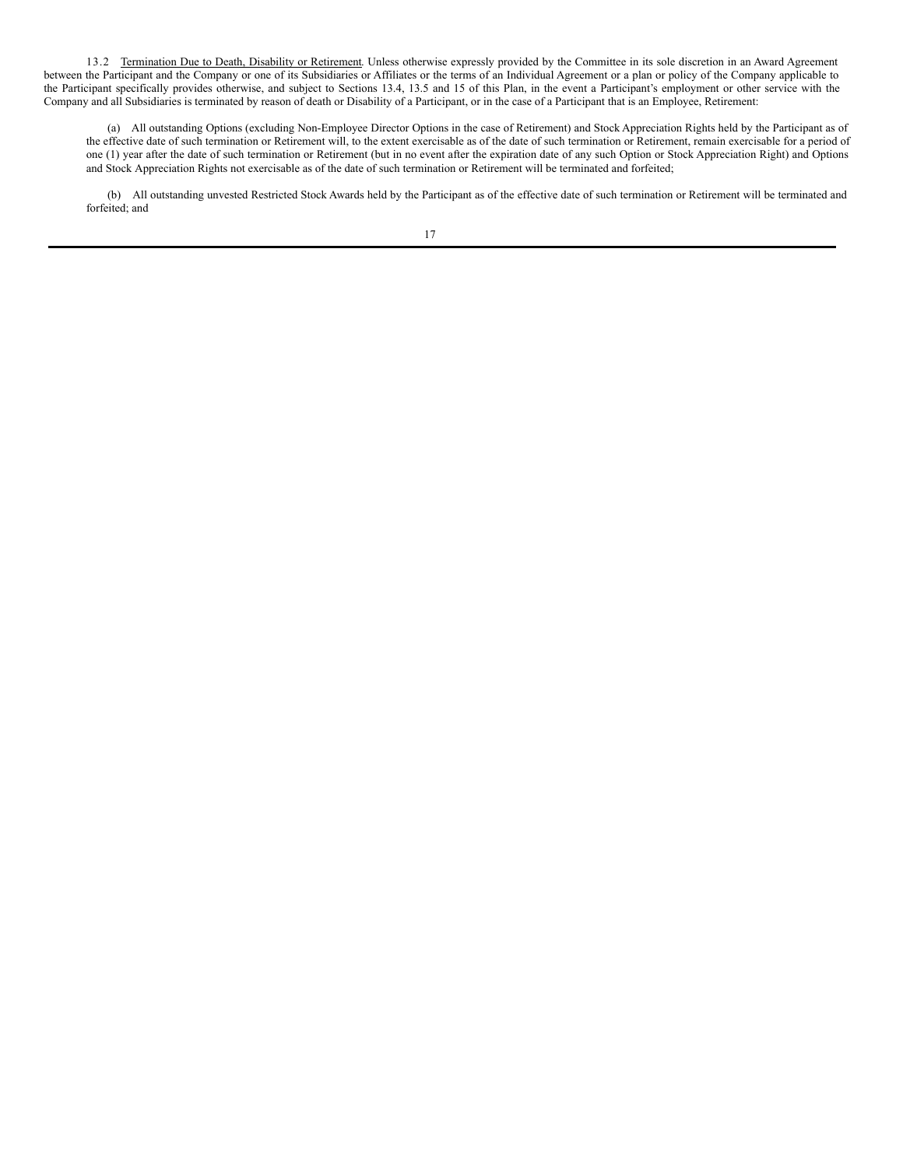13.2 Termination Due to Death, Disability or Retirement. Unless otherwise expressly provided by the Committee in its sole discretion in an Award Agreement between the Participant and the Company or one of its Subsidiaries or Affiliates or the terms of an Individual Agreement or a plan or policy of the Company applicable to the Participant specifically provides otherwise, and subject to Sections 13.4, 13.5 and 15 of this Plan, in the event a Participant's employment or other service with the Company and all Subsidiaries is terminated by reason of death or Disability of a Participant, or in the case of a Participant that is an Employee, Retirement:

(a) All outstanding Options (excluding Non-Employee Director Options in the case of Retirement) and Stock Appreciation Rights held by the Participant as of the effective date of such termination or Retirement will, to the extent exercisable as of the date of such termination or Retirement, remain exercisable for a period of one (1) year after the date of such termination or Retirement (but in no event after the expiration date of any such Option or Stock Appreciation Right) and Options and Stock Appreciation Rights not exercisable as of the date of such termination or Retirement will be terminated and forfeited;

(b) All outstanding unvested Restricted Stock Awards held by the Participant as of the effective date of such termination or Retirement will be terminated and forfeited; and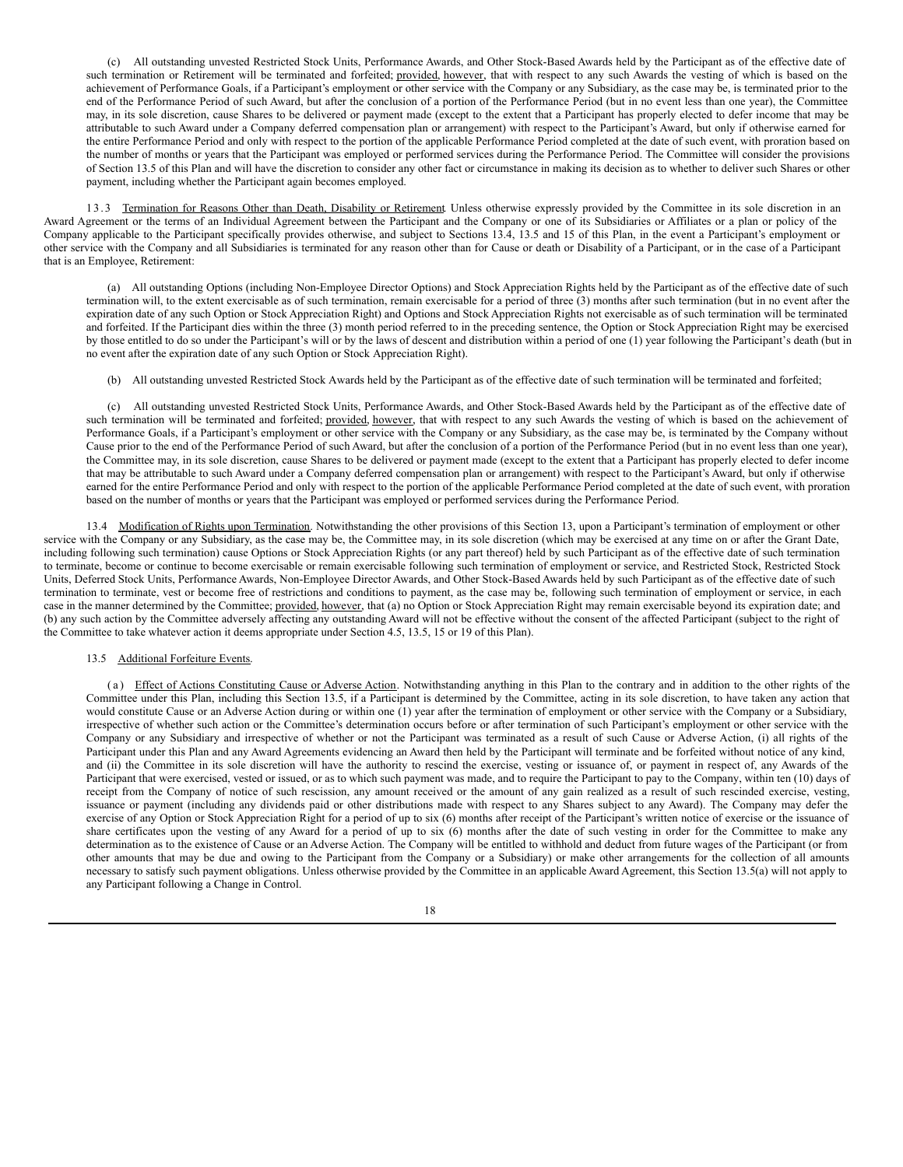(c) All outstanding unvested Restricted Stock Units, Performance Awards, and Other Stock-Based Awards held by the Participant as of the effective date of such termination or Retirement will be terminated and forfeited; provided, however, that with respect to any such Awards the vesting of which is based on the achievement of Performance Goals, if a Participant's employment or other service with the Company or any Subsidiary, as the case may be, is terminated prior to the end of the Performance Period of such Award, but after the conclusion of a portion of the Performance Period (but in no event less than one year), the Committee may, in its sole discretion, cause Shares to be delivered or payment made (except to the extent that a Participant has properly elected to defer income that may be attributable to such Award under a Company deferred compensation plan or arrangement) with respect to the Participant's Award, but only if otherwise earned for the entire Performance Period and only with respect to the portion of the applicable Performance Period completed at the date of such event, with proration based on the number of months or years that the Participant was employed or performed services during the Performance Period. The Committee will consider the provisions of Section 13.5 of this Plan and will have the discretion to consider any other fact or circumstance in making its decision as to whether to deliver such Shares or other payment, including whether the Participant again becomes employed.

13.3 Termination for Reasons Other than Death, Disability or Retirement. Unless otherwise expressly provided by the Committee in its sole discretion in an Award Agreement or the terms of an Individual Agreement between the Participant and the Company or one of its Subsidiaries or Affiliates or a plan or policy of the Company applicable to the Participant specifically provides otherwise, and subject to Sections 13.4, 13.5 and 15 of this Plan, in the event a Participant's employment or other service with the Company and all Subsidiaries is terminated for any reason other than for Cause or death or Disability of a Participant, or in the case of a Participant that is an Employee, Retirement:

(a) All outstanding Options (including Non-Employee Director Options) and Stock Appreciation Rights held by the Participant as of the effective date of such termination will, to the extent exercisable as of such termination, remain exercisable for a period of three (3) months after such termination (but in no event after the expiration date of any such Option or Stock Appreciation Right) and Options and Stock Appreciation Rights not exercisable as of such termination will be terminated and forfeited. If the Participant dies within the three (3) month period referred to in the preceding sentence, the Option or Stock Appreciation Right may be exercised by those entitled to do so under the Participant's will or by the laws of descent and distribution within a period of one (1) year following the Participant's death (but in no event after the expiration date of any such Option or Stock Appreciation Right).

(b) All outstanding unvested Restricted Stock Awards held by the Participant as of the effective date of such termination will be terminated and forfeited;

(c) All outstanding unvested Restricted Stock Units, Performance Awards, and Other Stock-Based Awards held by the Participant as of the effective date of such termination will be terminated and forfeited; provided, however, that with respect to any such Awards the vesting of which is based on the achievement of Performance Goals, if a Participant's employment or other service with the Company or any Subsidiary, as the case may be, is terminated by the Company without Cause prior to the end of the Performance Period of such Award, but after the conclusion of a portion of the Performance Period (but in no event less than one year), the Committee may, in its sole discretion, cause Shares to be delivered or payment made (except to the extent that a Participant has properly elected to defer income that may be attributable to such Award under a Company deferred compensation plan or arrangement) with respect to the Participant's Award, but only if otherwise earned for the entire Performance Period and only with respect to the portion of the applicable Performance Period completed at the date of such event, with proration based on the number of months or years that the Participant was employed or performed services during the Performance Period.

13.4 Modification of Rights upon Termination. Notwithstanding the other provisions of this Section 13, upon a Participant's termination of employment or other service with the Company or any Subsidiary, as the case may be, the Committee may, in its sole discretion (which may be exercised at any time on or after the Grant Date, including following such termination) cause Options or Stock Appreciation Rights (or any part thereof) held by such Participant as of the effective date of such termination to terminate, become or continue to become exercisable or remain exercisable following such termination of employment or service, and Restricted Stock, Restricted Stock Units, Deferred Stock Units, Performance Awards, Non-Employee Director Awards, and Other Stock-Based Awards held by such Participant as of the effective date of such termination to terminate, vest or become free of restrictions and conditions to payment, as the case may be, following such termination of employment or service, in each case in the manner determined by the Committee; provided, however, that (a) no Option or Stock Appreciation Right may remain exercisable beyond its expiration date; and (b) any such action by the Committee adversely affecting any outstanding Award will not be effective without the consent of the affected Participant (subject to the right of the Committee to take whatever action it deems appropriate under Section 4.5, 13.5, 15 or 19 of this Plan).

#### 13.5 Additional Forfeiture Events.

( a ) Effect of Actions Constituting Cause or Adverse Action. Notwithstanding anything in this Plan to the contrary and in addition to the other rights of the Committee under this Plan, including this Section 13.5, if a Participant is determined by the Committee, acting in its sole discretion, to have taken any action that would constitute Cause or an Adverse Action during or within one (1) year after the termination of employment or other service with the Company or a Subsidiary, irrespective of whether such action or the Committee's determination occurs before or after termination of such Participant's employment or other service with the Company or any Subsidiary and irrespective of whether or not the Participant was terminated as a result of such Cause or Adverse Action, (i) all rights of the Participant under this Plan and any Award Agreements evidencing an Award then held by the Participant will terminate and be forfeited without notice of any kind, and (ii) the Committee in its sole discretion will have the authority to rescind the exercise, vesting or issuance of, or payment in respect of, any Awards of the Participant that were exercised, vested or issued, or as to which such payment was made, and to require the Participant to pay to the Company, within ten (10) days of receipt from the Company of notice of such rescission, any amount received or the amount of any gain realized as a result of such rescinded exercise, vesting, issuance or payment (including any dividends paid or other distributions made with respect to any Shares subject to any Award). The Company may defer the exercise of any Option or Stock Appreciation Right for a period of up to six (6) months after receipt of the Participant's written notice of exercise or the issuance of share certificates upon the vesting of any Award for a period of up to six (6) months after the date of such vesting in order for the Committee to make any determination as to the existence of Cause or an Adverse Action. The Company will be entitled to withhold and deduct from future wages of the Participant (or from other amounts that may be due and owing to the Participant from the Company or a Subsidiary) or make other arrangements for the collection of all amounts necessary to satisfy such payment obligations. Unless otherwise provided by the Committee in an applicable Award Agreement, this Section 13.5(a) will not apply to any Participant following a Change in Control.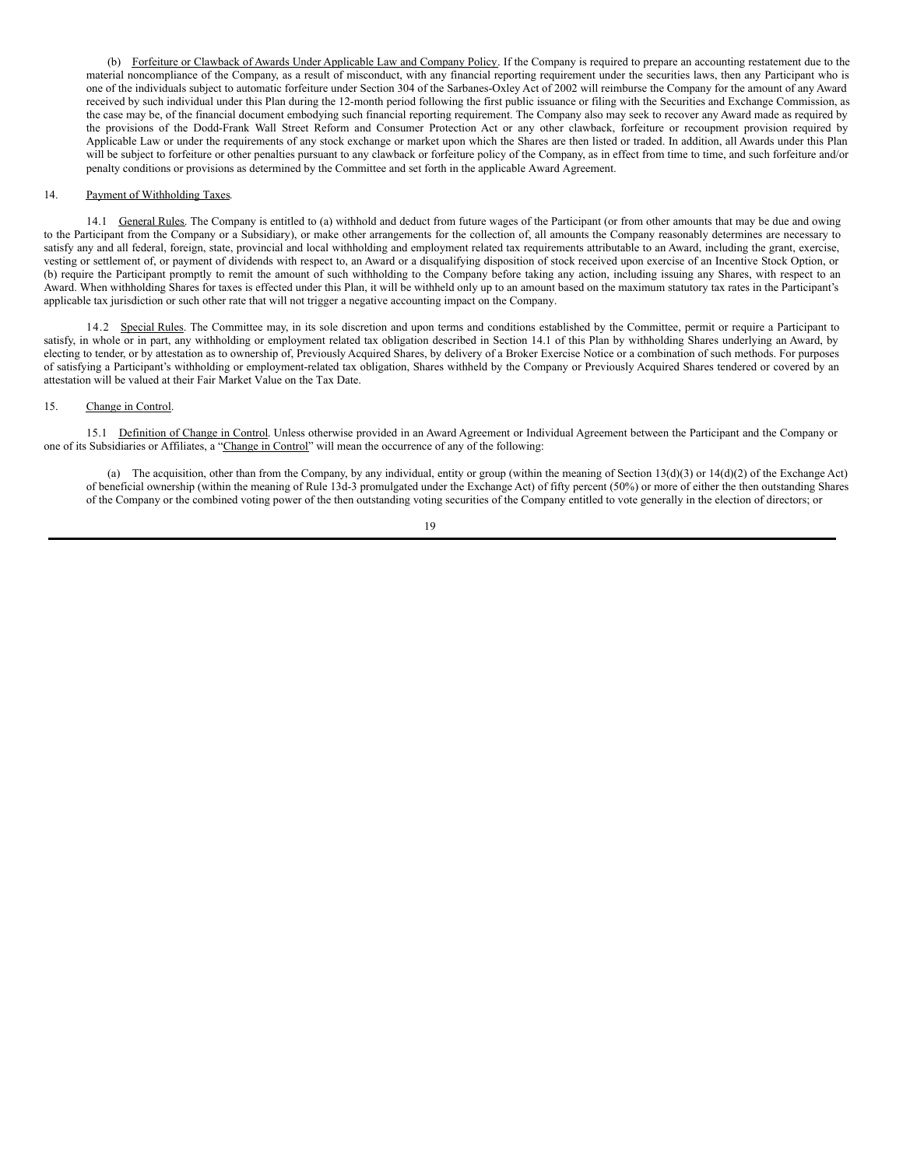(b) Forfeiture or Clawback of Awards Under Applicable Law and Company Policy. If the Company is required to prepare an accounting restatement due to the material noncompliance of the Company, as a result of misconduct, with any financial reporting requirement under the securities laws, then any Participant who is one of the individuals subject to automatic forfeiture under Section 304 of the Sarbanes-Oxley Act of 2002 will reimburse the Company for the amount of any Award received by such individual under this Plan during the 12-month period following the first public issuance or filing with the Securities and Exchange Commission, as the case may be, of the financial document embodying such financial reporting requirement. The Company also may seek to recover any Award made as required by the provisions of the Dodd-Frank Wall Street Reform and Consumer Protection Act or any other clawback, forfeiture or recoupment provision required by Applicable Law or under the requirements of any stock exchange or market upon which the Shares are then listed or traded. In addition, all Awards under this Plan will be subject to forfeiture or other penalties pursuant to any clawback or forfeiture policy of the Company, as in effect from time to time, and such forfeiture and/or penalty conditions or provisions as determined by the Committee and set forth in the applicable Award Agreement.

### 14. Payment of Withholding Taxes.

14.1 General Rules. The Company is entitled to (a) withhold and deduct from future wages of the Participant (or from other amounts that may be due and owing to the Participant from the Company or a Subsidiary), or make other arrangements for the collection of, all amounts the Company reasonably determines are necessary to satisfy any and all federal, foreign, state, provincial and local withholding and employment related tax requirements attributable to an Award, including the grant, exercise, vesting or settlement of, or payment of dividends with respect to, an Award or a disqualifying disposition of stock received upon exercise of an Incentive Stock Option, or (b) require the Participant promptly to remit the amount of such withholding to the Company before taking any action, including issuing any Shares, with respect to an Award. When withholding Shares for taxes is effected under this Plan, it will be withheld only up to an amount based on the maximum statutory tax rates in the Participant's applicable tax jurisdiction or such other rate that will not trigger a negative accounting impact on the Company.

14.2 Special Rules. The Committee may, in its sole discretion and upon terms and conditions established by the Committee, permit or require a Participant to satisfy, in whole or in part, any withholding or employment related tax obligation described in Section 14.1 of this Plan by withholding Shares underlying an Award, by electing to tender, or by attestation as to ownership of, Previously Acquired Shares, by delivery of a Broker Exercise Notice or a combination of such methods. For purposes of satisfying a Participant's withholding or employment-related tax obligation, Shares withheld by the Company or Previously Acquired Shares tendered or covered by an attestation will be valued at their Fair Market Value on the Tax Date.

#### 15. Change in Control.

15.1 Definition of Change in Control. Unless otherwise provided in an Award Agreement or Individual Agreement between the Participant and the Company or one of its Subsidiaries or Affiliates, a "Change in Control" will mean the occurrence of any of the following:

(a) The acquisition, other than from the Company, by any individual, entity or group (within the meaning of Section 13(d)(3) or 14(d)(2) of the Exchange Act) of beneficial ownership (within the meaning of Rule 13d-3 promulgated under the Exchange Act) of fifty percent (50%) or more of either the then outstanding Shares of the Company or the combined voting power of the then outstanding voting securities of the Company entitled to vote generally in the election of directors; or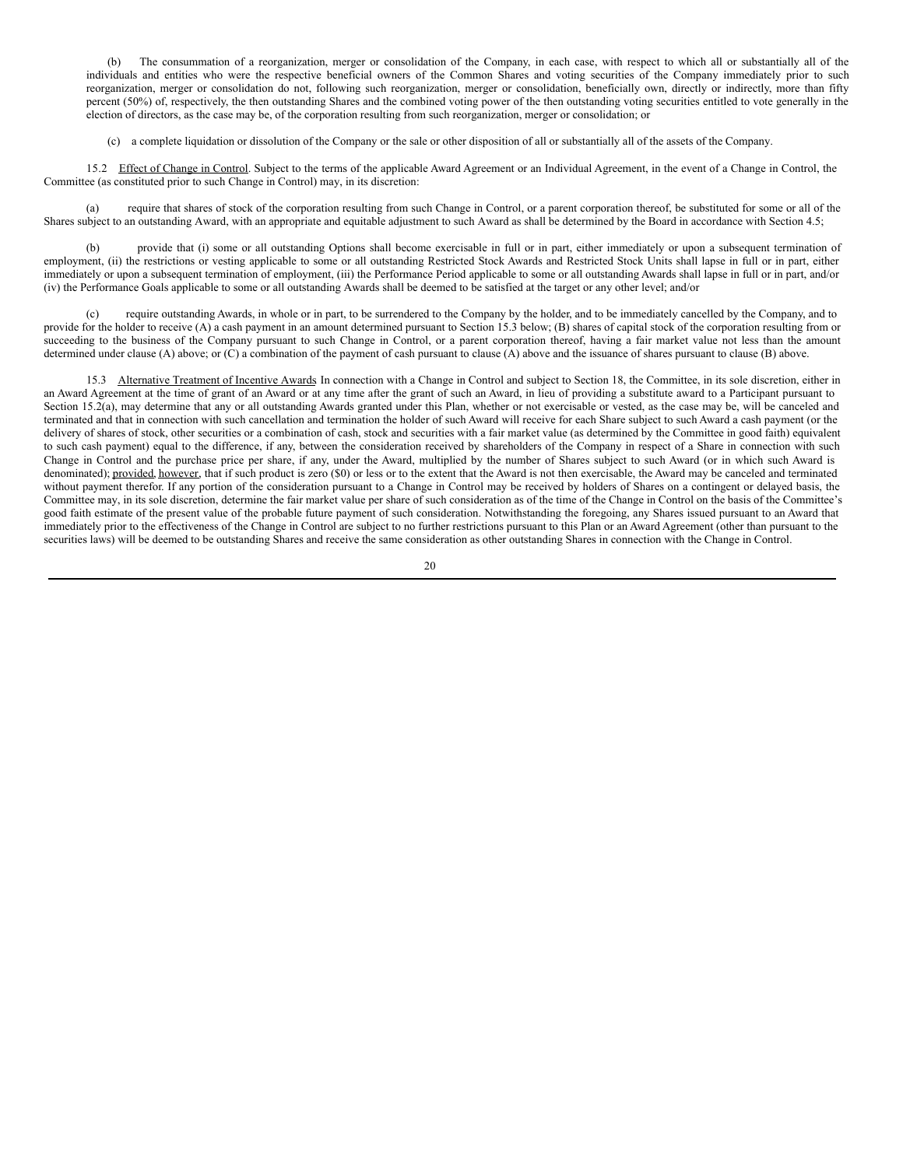(b) The consummation of a reorganization, merger or consolidation of the Company, in each case, with respect to which all or substantially all of the individuals and entities who were the respective beneficial owners of the Common Shares and voting securities of the Company immediately prior to such reorganization, merger or consolidation do not, following such reorganization, merger or consolidation, beneficially own, directly or indirectly, more than fifty percent (50%) of, respectively, the then outstanding Shares and the combined voting power of the then outstanding voting securities entitled to vote generally in the election of directors, as the case may be, of the corporation resulting from such reorganization, merger or consolidation; or

(c) a complete liquidation or dissolution of the Company or the sale or other disposition of all or substantially all of the assets of the Company.

15.2 Effect of Change in Control. Subject to the terms of the applicable Award Agreement or an Individual Agreement, in the event of a Change in Control, the Committee (as constituted prior to such Change in Control) may, in its discretion:

(a) require that shares of stock of the corporation resulting from such Change in Control, or a parent corporation thereof, be substituted for some or all of the Shares subject to an outstanding Award, with an appropriate and equitable adjustment to such Award as shall be determined by the Board in accordance with Section 4.5;

provide that (i) some or all outstanding Options shall become exercisable in full or in part, either immediately or upon a subsequent termination of employment, (ii) the restrictions or vesting applicable to some or all outstanding Restricted Stock Awards and Restricted Stock Units shall lapse in full or in part, either immediately or upon a subsequent termination of employment, (iii) the Performance Period applicable to some or all outstanding Awards shall lapse in full or in part, and/or (iv) the Performance Goals applicable to some or all outstanding Awards shall be deemed to be satisfied at the target or any other level; and/or

require outstanding Awards, in whole or in part, to be surrendered to the Company by the holder, and to be immediately cancelled by the Company, and to provide for the holder to receive (A) a cash payment in an amount determined pursuant to Section 15.3 below; (B) shares of capital stock of the corporation resulting from or succeeding to the business of the Company pursuant to such Change in Control, or a parent corporation thereof, having a fair market value not less than the amount determined under clause (A) above; or (C) a combination of the payment of cash pursuant to clause (A) above and the issuance of shares pursuant to clause (B) above.

15.3 Alternative Treatment of Incentive Awards In connection with a Change in Control and subject to Section 18, the Committee, in its sole discretion, either in an Award Agreement at the time of grant of an Award or at any time after the grant of such an Award, in lieu of providing a substitute award to a Participant pursuant to Section 15.2(a), may determine that any or all outstanding Awards granted under this Plan, whether or not exercisable or vested, as the case may be, will be canceled and terminated and that in connection with such cancellation and termination the holder of such Award will receive for each Share subject to such Award a cash payment (or the delivery of shares of stock, other securities or a combination of cash, stock and securities with a fair market value (as determined by the Committee in good faith) equivalent to such cash payment) equal to the difference, if any, between the consideration received by shareholders of the Company in respect of a Share in connection with such Change in Control and the purchase price per share, if any, under the Award, multiplied by the number of Shares subject to such Award (or in which such Award is denominated); provided, however, that if such product is zero (\$0) or less or to the extent that the Award is not then exercisable, the Award may be canceled and terminated without payment therefor. If any portion of the consideration pursuant to a Change in Control may be received by holders of Shares on a contingent or delayed basis, the Committee may, in its sole discretion, determine the fair market value per share of such consideration as of the time of the Change in Control on the basis of the Committee's good faith estimate of the present value of the probable future payment of such consideration. Notwithstanding the foregoing, any Shares issued pursuant to an Award that immediately prior to the effectiveness of the Change in Control are subject to no further restrictions pursuant to this Plan or an Award Agreement (other than pursuant to the securities laws) will be deemed to be outstanding Shares and receive the same consideration as other outstanding Shares in connection with the Change in Control.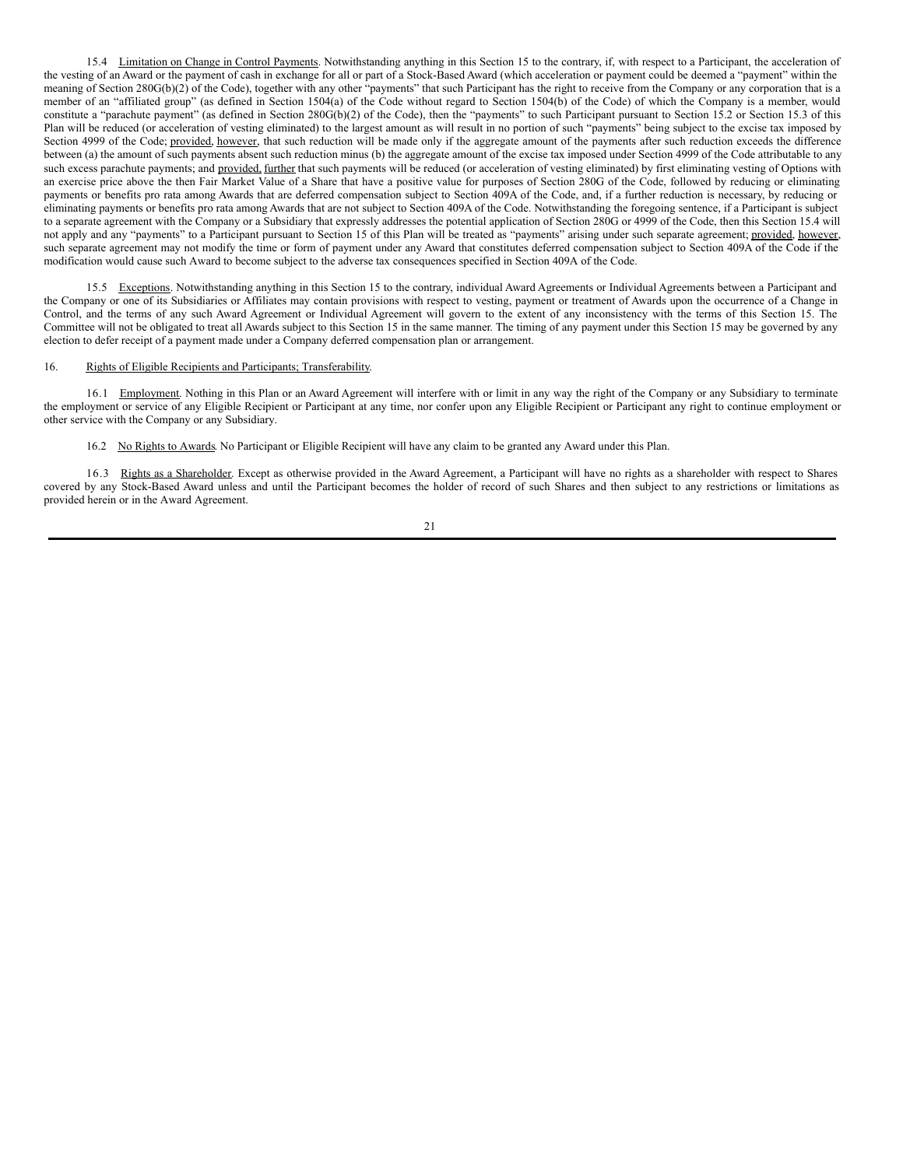15.4 Limitation on Change in Control Payments. Notwithstanding anything in this Section 15 to the contrary, if, with respect to a Participant, the acceleration of the vesting of an Award or the payment of cash in exchange for all or part of a Stock-Based Award (which acceleration or payment could be deemed a "payment" within the meaning of Section 280G(b)(2) of the Code), together with any other "payments" that such Participant has the right to receive from the Company or any corporation that is a member of an "affiliated group" (as defined in Section 1504(a) of the Code without regard to Section 1504(b) of the Code) of which the Company is a member, would constitute a "parachute payment" (as defined in Section 280G(b)(2) of the Code), then the "payments" to such Participant pursuant to Section 15.2 or Section 15.3 of this Plan will be reduced (or acceleration of vesting eliminated) to the largest amount as will result in no portion of such "payments" being subject to the excise tax imposed by Section 4999 of the Code; provided, however, that such reduction will be made only if the aggregate amount of the payments after such reduction exceeds the difference between (a) the amount of such payments absent such reduction minus (b) the aggregate amount of the excise tax imposed under Section 4999 of the Code attributable to any such excess parachute payments; and provided, further that such payments will be reduced (or acceleration of vesting eliminated) by first eliminating vesting of Options with an exercise price above the then Fair Market Value of a Share that have a positive value for purposes of Section 280G of the Code, followed by reducing or eliminating payments or benefits pro rata among Awards that are deferred compensation subject to Section 409A of the Code, and, if a further reduction is necessary, by reducing or eliminating payments or benefits pro rata among Awards that are not subject to Section 409A of the Code. Notwithstanding the foregoing sentence, if a Participant is subject to a separate agreement with the Company or a Subsidiary that expressly addresses the potential application of Section 280G or 4999 of the Code, then this Section 15.4 will not apply and any "payments" to a Participant pursuant to Section 15 of this Plan will be treated as "payments" arising under such separate agreement; provided, however, such separate agreement may not modify the time or form of payment under any Award that constitutes deferred compensation subject to Section 409A of the Code if the modification would cause such Award to become subject to the adverse tax consequences specified in Section 409A of the Code.

15.5 Exceptions. Notwithstanding anything in this Section 15 to the contrary, individual Award Agreements or Individual Agreements between a Participant and the Company or one of its Subsidiaries or Affiliates may contain provisions with respect to vesting, payment or treatment of Awards upon the occurrence of a Change in Control, and the terms of any such Award Agreement or Individual Agreement will govern to the extent of any inconsistency with the terms of this Section 15. The Committee will not be obligated to treat all Awards subject to this Section 15 in the same manner. The timing of any payment under this Section 15 may be governed by any election to defer receipt of a payment made under a Company deferred compensation plan or arrangement.

### 16. Rights of Eligible Recipients and Participants; Transferability.

16.1 Employment. Nothing in this Plan or an Award Agreement will interfere with or limit in any way the right of the Company or any Subsidiary to terminate the employment or service of any Eligible Recipient or Participant at any time, nor confer upon any Eligible Recipient or Participant any right to continue employment or other service with the Company or any Subsidiary.

16.2 No Rights to Awards. No Participant or Eligible Recipient will have any claim to be granted any Award under this Plan.

16.3 Rights as a Shareholder. Except as otherwise provided in the Award Agreement, a Participant will have no rights as a shareholder with respect to Shares covered by any Stock-Based Award unless and until the Participant becomes the holder of record of such Shares and then subject to any restrictions or limitations as provided herein or in the Award Agreement.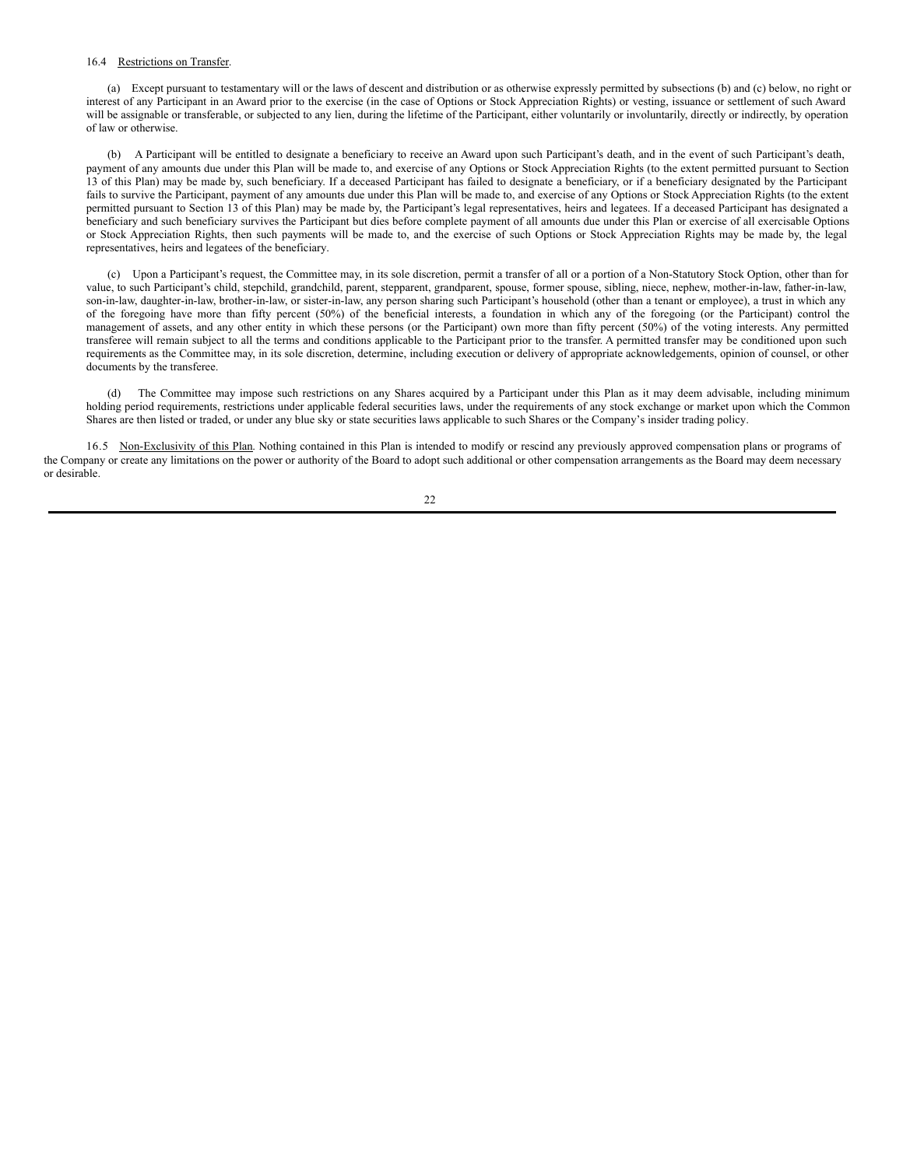### 16.4 Restrictions on Transfer.

(a) Except pursuant to testamentary will or the laws of descent and distribution or as otherwise expressly permitted by subsections (b) and (c) below, no right or interest of any Participant in an Award prior to the exercise (in the case of Options or Stock Appreciation Rights) or vesting, issuance or settlement of such Award will be assignable or transferable, or subjected to any lien, during the lifetime of the Participant, either voluntarily or involuntarily, directly or indirectly, by operation of law or otherwise.

(b) A Participant will be entitled to designate a beneficiary to receive an Award upon such Participant's death, and in the event of such Participant's death, payment of any amounts due under this Plan will be made to, and exercise of any Options or Stock Appreciation Rights (to the extent permitted pursuant to Section 13 of this Plan) may be made by, such beneficiary. If a deceased Participant has failed to designate a beneficiary, or if a beneficiary designated by the Participant fails to survive the Participant, payment of any amounts due under this Plan will be made to, and exercise of any Options or Stock Appreciation Rights (to the extent permitted pursuant to Section 13 of this Plan) may be made by, the Participant's legal representatives, heirs and legatees. If a deceased Participant has designated a beneficiary and such beneficiary survives the Participant but dies before complete payment of all amounts due under this Plan or exercise of all exercisable Options or Stock Appreciation Rights, then such payments will be made to, and the exercise of such Options or Stock Appreciation Rights may be made by, the legal representatives, heirs and legatees of the beneficiary.

(c) Upon a Participant's request, the Committee may, in its sole discretion, permit a transfer of all or a portion of a Non-Statutory Stock Option, other than for value, to such Participant's child, stepchild, grandchild, parent, stepparent, grandparent, spouse, former spouse, sibling, niece, nephew, mother-in-law, father-in-law, son-in-law, daughter-in-law, brother-in-law, or sister-in-law, any person sharing such Participant's household (other than a tenant or employee), a trust in which any of the foregoing have more than fifty percent (50%) of the beneficial interests, a foundation in which any of the foregoing (or the Participant) control the management of assets, and any other entity in which these persons (or the Participant) own more than fifty percent (50%) of the voting interests. Any permitted transferee will remain subject to all the terms and conditions applicable to the Participant prior to the transfer. A permitted transfer may be conditioned upon such requirements as the Committee may, in its sole discretion, determine, including execution or delivery of appropriate acknowledgements, opinion of counsel, or other documents by the transferee.

(d) The Committee may impose such restrictions on any Shares acquired by a Participant under this Plan as it may deem advisable, including minimum holding period requirements, restrictions under applicable federal securities laws, under the requirements of any stock exchange or market upon which the Common Shares are then listed or traded, or under any blue sky or state securities laws applicable to such Shares or the Company's insider trading policy.

16.5 Non-Exclusivity of this Plan. Nothing contained in this Plan is intended to modify or rescind any previously approved compensation plans or programs of the Company or create any limitations on the power or authority of the Board to adopt such additional or other compensation arrangements as the Board may deem necessary or desirable.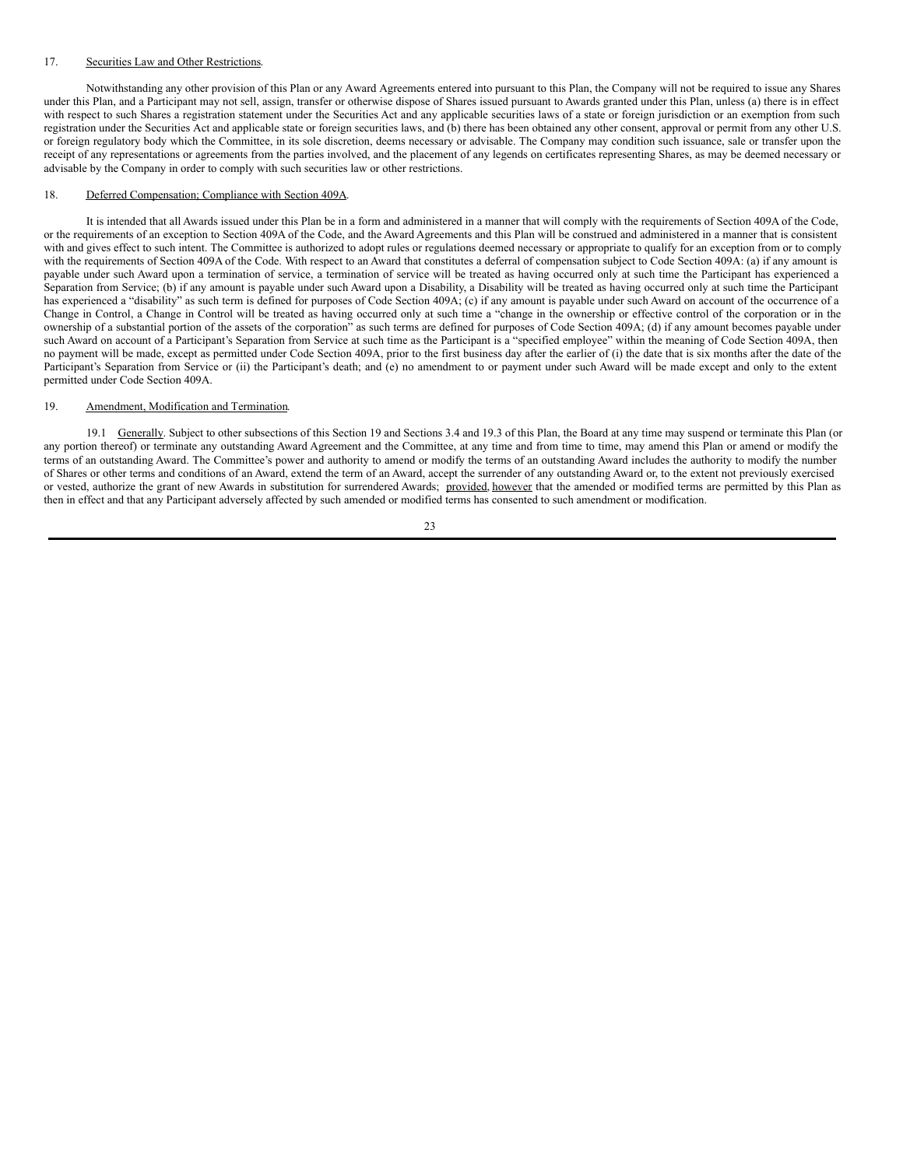### 17. Securities Law and Other Restrictions.

Notwithstanding any other provision of this Plan or any Award Agreements entered into pursuant to this Plan, the Company will not be required to issue any Shares under this Plan, and a Participant may not sell, assign, transfer or otherwise dispose of Shares issued pursuant to Awards granted under this Plan, unless (a) there is in effect with respect to such Shares a registration statement under the Securities Act and any applicable securities laws of a state or foreign jurisdiction or an exemption from such registration under the Securities Act and applicable state or foreign securities laws, and (b) there has been obtained any other consent, approval or permit from any other U.S. or foreign regulatory body which the Committee, in its sole discretion, deems necessary or advisable. The Company may condition such issuance, sale or transfer upon the receipt of any representations or agreements from the parties involved, and the placement of any legends on certificates representing Shares, as may be deemed necessary or advisable by the Company in order to comply with such securities law or other restrictions.

### 18. Deferred Compensation; Compliance with Section 409A.

It is intended that all Awards issued under this Plan be in a form and administered in a manner that will comply with the requirements of Section 409A of the Code, or the requirements of an exception to Section 409A of the Code, and the Award Agreements and this Plan will be construed and administered in a manner that is consistent with and gives effect to such intent. The Committee is authorized to adopt rules or regulations deemed necessary or appropriate to qualify for an exception from or to comply with the requirements of Section 409A of the Code. With respect to an Award that constitutes a deferral of compensation subject to Code Section 409A: (a) if any amount is payable under such Award upon a termination of service, a termination of service will be treated as having occurred only at such time the Participant has experienced a Separation from Service; (b) if any amount is payable under such Award upon a Disability, a Disability will be treated as having occurred only at such time the Participant has experienced a "disability" as such term is defined for purposes of Code Section 409A; (c) if any amount is payable under such Award on account of the occurrence of a Change in Control, a Change in Control will be treated as having occurred only at such time a "change in the ownership or effective control of the corporation or in the ownership of a substantial portion of the assets of the corporation" as such terms are defined for purposes of Code Section 409A; (d) if any amount becomes payable under such Award on account of a Participant's Separation from Service at such time as the Participant is a "specified employee" within the meaning of Code Section 409A, then no payment will be made, except as permitted under Code Section 409A, prior to the first business day after the earlier of (i) the date that is six months after the date of the Participant's Separation from Service or (ii) the Participant's death; and (e) no amendment to or payment under such Award will be made except and only to the extent permitted under Code Section 409A.

#### 19. Amendment, Modification and Termination.

19.1 Generally. Subject to other subsections of this Section 19 and Sections 3.4 and 19.3 of this Plan, the Board at any time may suspend or terminate this Plan (or any portion thereof) or terminate any outstanding Award Agreement and the Committee, at any time and from time to time, may amend this Plan or amend or modify the terms of an outstanding Award. The Committee's power and authority to amend or modify the terms of an outstanding Award includes the authority to modify the number of Shares or other terms and conditions of an Award, extend the term of an Award, accept the surrender of any outstanding Award or, to the extent not previously exercised or vested, authorize the grant of new Awards in substitution for surrendered Awards; provided, however that the amended or modified terms are permitted by this Plan as then in effect and that any Participant adversely affected by such amended or modified terms has consented to such amendment or modification.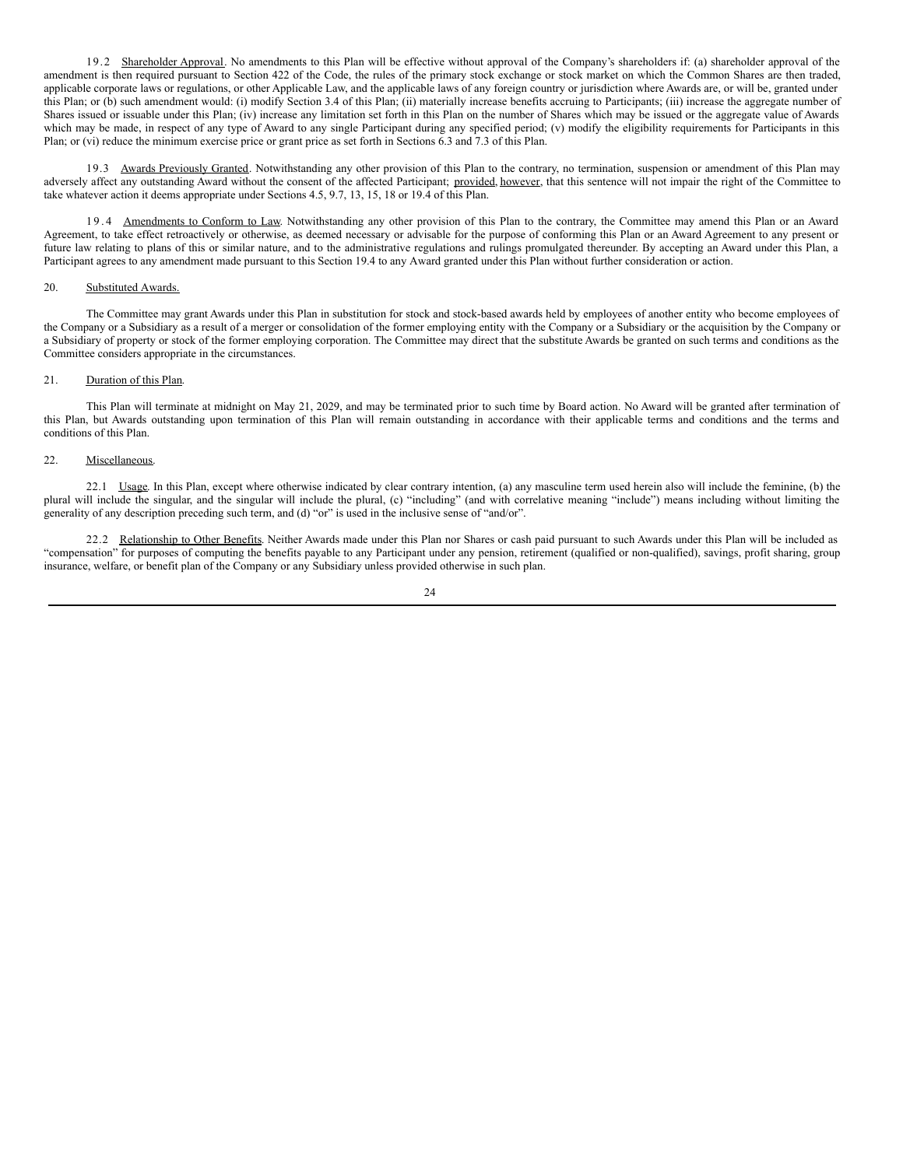19.2 Shareholder Approval. No amendments to this Plan will be effective without approval of the Company's shareholders if: (a) shareholder approval of the amendment is then required pursuant to Section 422 of the Code, the rules of the primary stock exchange or stock market on which the Common Shares are then traded, applicable corporate laws or regulations, or other Applicable Law, and the applicable laws of any foreign country or jurisdiction where Awards are, or will be, granted under this Plan; or (b) such amendment would: (i) modify Section 3.4 of this Plan; (ii) materially increase benefits accruing to Participants; (iii) increase the aggregate number of Shares issued or issuable under this Plan; (iv) increase any limitation set forth in this Plan on the number of Shares which may be issued or the aggregate value of Awards which may be made, in respect of any type of Award to any single Participant during any specified period; (v) modify the eligibility requirements for Participants in this Plan; or (vi) reduce the minimum exercise price or grant price as set forth in Sections 6.3 and 7.3 of this Plan.

19.3 Awards Previously Granted. Notwithstanding any other provision of this Plan to the contrary, no termination, suspension or amendment of this Plan may adversely affect any outstanding Award without the consent of the affected Participant; provided, however, that this sentence will not impair the right of the Committee to take whatever action it deems appropriate under Sections 4.5, 9.7, 13, 15, 18 or 19.4 of this Plan.

19.4 Amendments to Conform to Law. Notwithstanding any other provision of this Plan to the contrary, the Committee may amend this Plan or an Award Agreement, to take effect retroactively or otherwise, as deemed necessary or advisable for the purpose of conforming this Plan or an Award Agreement to any present or future law relating to plans of this or similar nature, and to the administrative regulations and rulings promulgated thereunder. By accepting an Award under this Plan, a Participant agrees to any amendment made pursuant to this Section 19.4 to any Award granted under this Plan without further consideration or action.

### 20. Substituted Awards.

The Committee may grant Awards under this Plan in substitution for stock and stock-based awards held by employees of another entity who become employees of the Company or a Subsidiary as a result of a merger or consolidation of the former employing entity with the Company or a Subsidiary or the acquisition by the Company or a Subsidiary of property or stock of the former employing corporation. The Committee may direct that the substitute Awards be granted on such terms and conditions as the Committee considers appropriate in the circumstances.

### 21. Duration of this Plan.

This Plan will terminate at midnight on May 21, 2029, and may be terminated prior to such time by Board action. No Award will be granted after termination of this Plan, but Awards outstanding upon termination of this Plan will remain outstanding in accordance with their applicable terms and conditions and the terms and conditions of this Plan.

### 22. Miscellaneous.

22.1 Usage. In this Plan, except where otherwise indicated by clear contrary intention, (a) any masculine term used herein also will include the feminine, (b) the plural will include the singular, and the singular will include the plural, (c) "including" (and with correlative meaning "include") means including without limiting the generality of any description preceding such term, and (d) "or" is used in the inclusive sense of "and/or".

22.2 Relationship to Other Benefits. Neither Awards made under this Plan nor Shares or cash paid pursuant to such Awards under this Plan will be included as "compensation" for purposes of computing the benefits payable to any Participant under any pension, retirement (qualified or non-qualified), savings, profit sharing, group insurance, welfare, or benefit plan of the Company or any Subsidiary unless provided otherwise in such plan.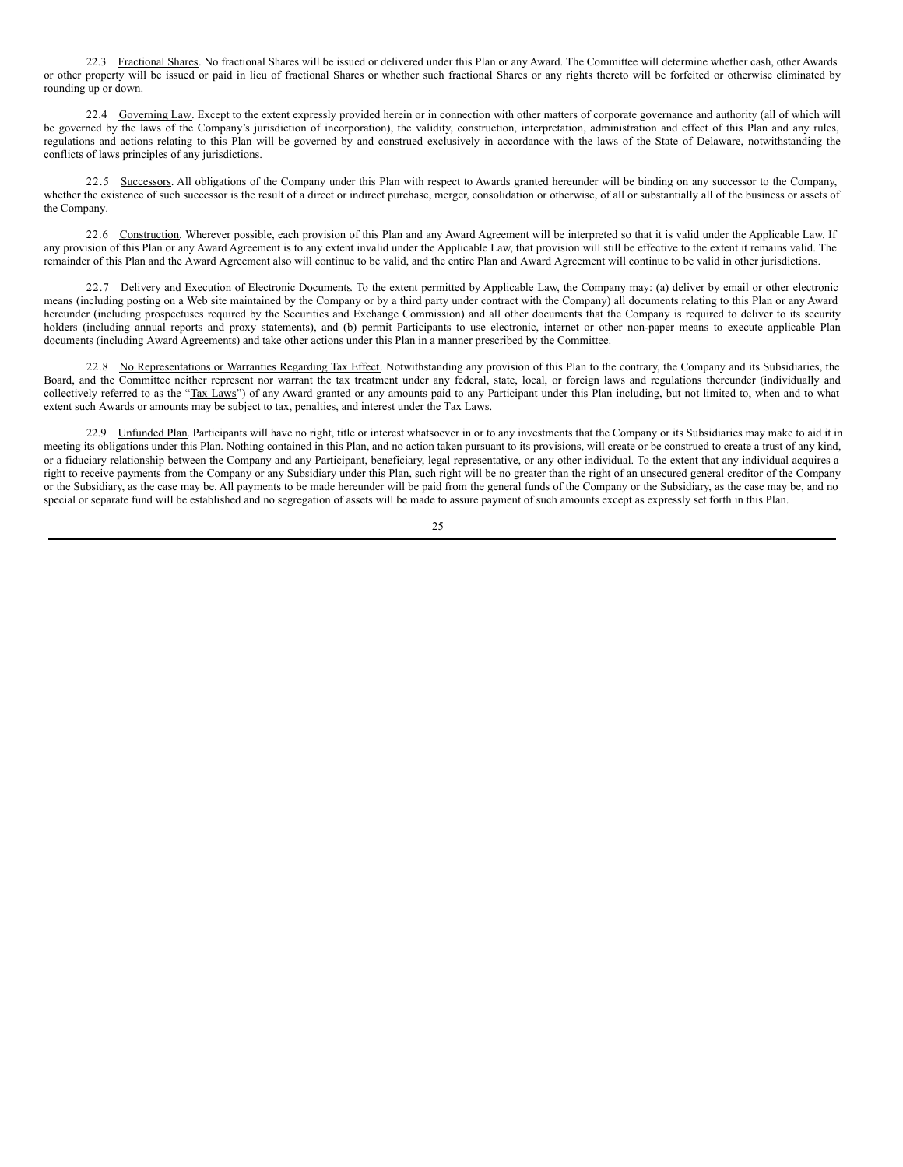22.3 Fractional Shares. No fractional Shares will be issued or delivered under this Plan or any Award. The Committee will determine whether cash, other Awards or other property will be issued or paid in lieu of fractional Shares or whether such fractional Shares or any rights thereto will be forfeited or otherwise eliminated by rounding up or down.

22.4 Governing Law. Except to the extent expressly provided herein or in connection with other matters of corporate governance and authority (all of which will be governed by the laws of the Company's jurisdiction of incorporation), the validity, construction, interpretation, administration and effect of this Plan and any rules, regulations and actions relating to this Plan will be governed by and construed exclusively in accordance with the laws of the State of Delaware, notwithstanding the conflicts of laws principles of any jurisdictions.

22.5 Successors. All obligations of the Company under this Plan with respect to Awards granted hereunder will be binding on any successor to the Company, whether the existence of such successor is the result of a direct or indirect purchase, merger, consolidation or otherwise, of all or substantially all of the business or assets of the Company.

22.6 Construction. Wherever possible, each provision of this Plan and any Award Agreement will be interpreted so that it is valid under the Applicable Law. If any provision of this Plan or any Award Agreement is to any extent invalid under the Applicable Law, that provision will still be effective to the extent it remains valid. The remainder of this Plan and the Award Agreement also will continue to be valid, and the entire Plan and Award Agreement will continue to be valid in other jurisdictions.

22.7 Delivery and Execution of Electronic Documents. To the extent permitted by Applicable Law, the Company may: (a) deliver by email or other electronic means (including posting on a Web site maintained by the Company or by a third party under contract with the Company) all documents relating to this Plan or any Award hereunder (including prospectuses required by the Securities and Exchange Commission) and all other documents that the Company is required to deliver to its security holders (including annual reports and proxy statements), and (b) permit Participants to use electronic, internet or other non-paper means to execute applicable Plan documents (including Award Agreements) and take other actions under this Plan in a manner prescribed by the Committee.

22.8 No Representations or Warranties Regarding Tax Effect. Notwithstanding any provision of this Plan to the contrary, the Company and its Subsidiaries, the Board, and the Committee neither represent nor warrant the tax treatment under any federal, state, local, or foreign laws and regulations thereunder (individually and collectively referred to as the "Tax Laws") of any Award granted or any amounts paid to any Participant under this Plan including, but not limited to, when and to what extent such Awards or amounts may be subject to tax, penalties, and interest under the Tax Laws.

22.9 Unfunded Plan. Participants will have no right, title or interest whatsoever in or to any investments that the Company or its Subsidiaries may make to aid it in meeting its obligations under this Plan. Nothing contained in this Plan, and no action taken pursuant to its provisions, will create or be construed to create a trust of any kind, or a fiduciary relationship between the Company and any Participant, beneficiary, legal representative, or any other individual. To the extent that any individual acquires a right to receive payments from the Company or any Subsidiary under this Plan, such right will be no greater than the right of an unsecured general creditor of the Company or the Subsidiary, as the case may be. All payments to be made hereunder will be paid from the general funds of the Company or the Subsidiary, as the case may be, and no special or separate fund will be established and no segregation of assets will be made to assure payment of such amounts except as expressly set forth in this Plan.